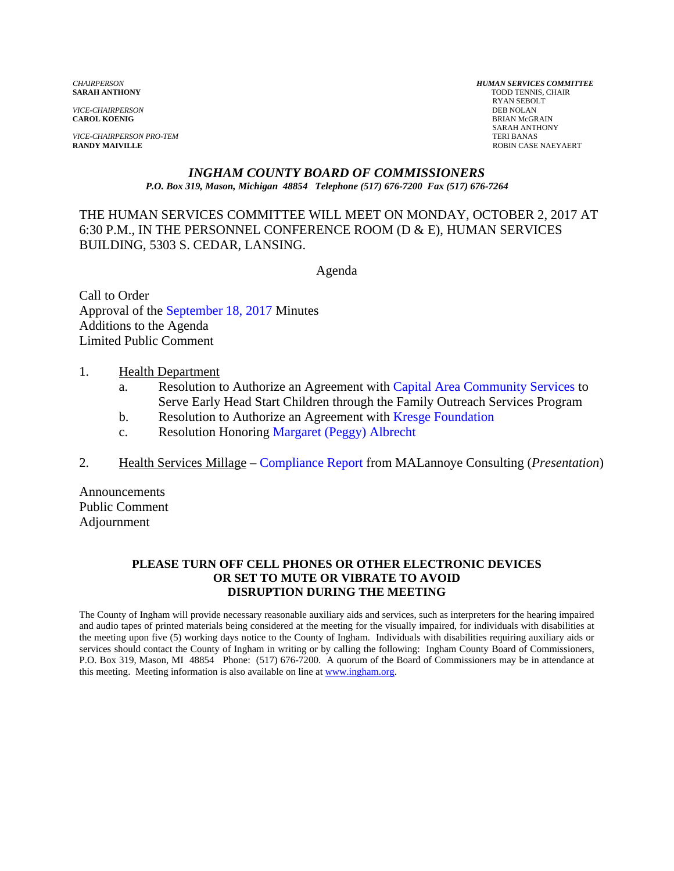**SARAH ANTHONY** 

*VICE-CHAIRPERSON*<br>**CAROL KOENIG** 

*VICE-CHAIRPERSON PRO-TEM* TERI BANAS

*CHAIRPERSON HUMAN SERVICES COMMITTEE* RYAN SEBOLT **BRIAN McGRAIN**  SARAH ANTHONY ROBIN CASE NAEYAERT

# *INGHAM COUNTY BOARD OF COMMISSIONERS*

*P.O. Box 319, Mason, Michigan 48854 Telephone (517) 676-7200 Fax (517) 676-7264*

#### THE HUMAN SERVICES COMMITTEE WILL MEET ON MONDAY, OCTOBER 2, 2017 AT 6:30 P.M., IN THE PERSONNEL CONFERENCE ROOM (D & E), HUMAN SERVICES BUILDING, 5303 S. CEDAR, LANSING.

Agenda

Call to Order Approval [of the September 18, 2017 Minutes](#page-1-0)  Additions to the Agenda Limited Public Comment

#### 1. Health Department

- a. Resolution to Authorize an Agreement with Capital Area Community Services to Serve Early Head Start Children through [the Family Outreach Services Program](#page-14-0)
- b. Resolution to Authorize an Agreement with [Kresge Foundation](#page-16-0)
- c. Resolution Honori[ng Margaret \(Peggy\) Albrecht](#page-18-0)
- 2. Health Services Millage  [Compliance Report from](#page-19-0) MALannoye Consulting (*Presentation*)

Announcements Public Comment Adjournment

#### **PLEASE TURN OFF CELL PHONES OR OTHER ELECTRONIC DEVICES OR SET TO MUTE OR VIBRATE TO AVOID DISRUPTION DURING THE MEETING**

The County of Ingham will provide necessary reasonable auxiliary aids and services, such as interpreters for the hearing impaired and audio tapes of printed materials being considered at the meeting for the visually impaired, for individuals with disabilities at the meeting upon five (5) working days notice to the County of Ingham. Individuals with disabilities requiring auxiliary aids or services should contact the County of Ingham in writing or by calling the following: Ingham County Board of Commissioners, P.O. Box 319, Mason, MI 48854 Phone: (517) 676-7200. A quorum of the Board of Commissioners may be in attendance at this meeting. Meeting information is also available on line at www.ingham.org.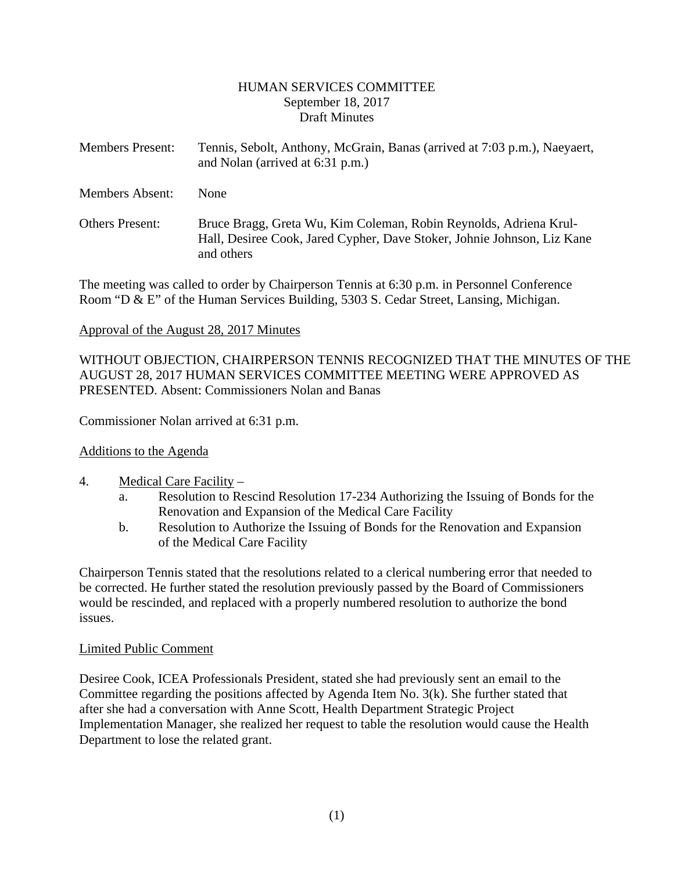#### HUMAN SERVICES COMMITTEE September 18, 2017 Draft Minutes

<span id="page-1-0"></span>

| <b>Members Present:</b> | Tennis, Sebolt, Anthony, McGrain, Banas (arrived at 7:03 p.m.), Naeyaert,<br>and Nolan (arrived at 6:31 p.m.)                                              |
|-------------------------|------------------------------------------------------------------------------------------------------------------------------------------------------------|
| <b>Members Absent:</b>  | <b>None</b>                                                                                                                                                |
| <b>Others Present:</b>  | Bruce Bragg, Greta Wu, Kim Coleman, Robin Reynolds, Adriena Krul-<br>Hall, Desiree Cook, Jared Cypher, Dave Stoker, Johnie Johnson, Liz Kane<br>and others |

The meeting was called to order by Chairperson Tennis at 6:30 p.m. in Personnel Conference Room "D & E" of the Human Services Building, 5303 S. Cedar Street, Lansing, Michigan.

#### Approval of the August 28, 2017 Minutes

WITHOUT OBJECTION, CHAIRPERSON TENNIS RECOGNIZED THAT THE MINUTES OF THE AUGUST 28, 2017 HUMAN SERVICES COMMITTEE MEETING WERE APPROVED AS PRESENTED. Absent: Commissioners Nolan and Banas

Commissioner Nolan arrived at 6:31 p.m.

## Additions to the Agenda

#### 4. Medical Care Facility –

- Resolution to Rescind Resolution 17-234 Authorizing the Issuing of Bonds for the Renovation and Expansion of the Medical Care Facility
- b. Resolution to Authorize the Issuing of Bonds for the Renovation and Expansion of the Medical Care Facility

Chairperson Tennis stated that the resolutions related to a clerical numbering error that needed to be corrected. He further stated the resolution previously passed by the Board of Commissioners would be rescinded, and replaced with a properly numbered resolution to authorize the bond issues.

#### Limited Public Comment

Desiree Cook, ICEA Professionals President, stated she had previously sent an email to the Committee regarding the positions affected by Agenda Item No. 3(k). She further stated that after she had a conversation with Anne Scott, Health Department Strategic Project Implementation Manager, she realized her request to table the resolution would cause the Health Department to lose the related grant.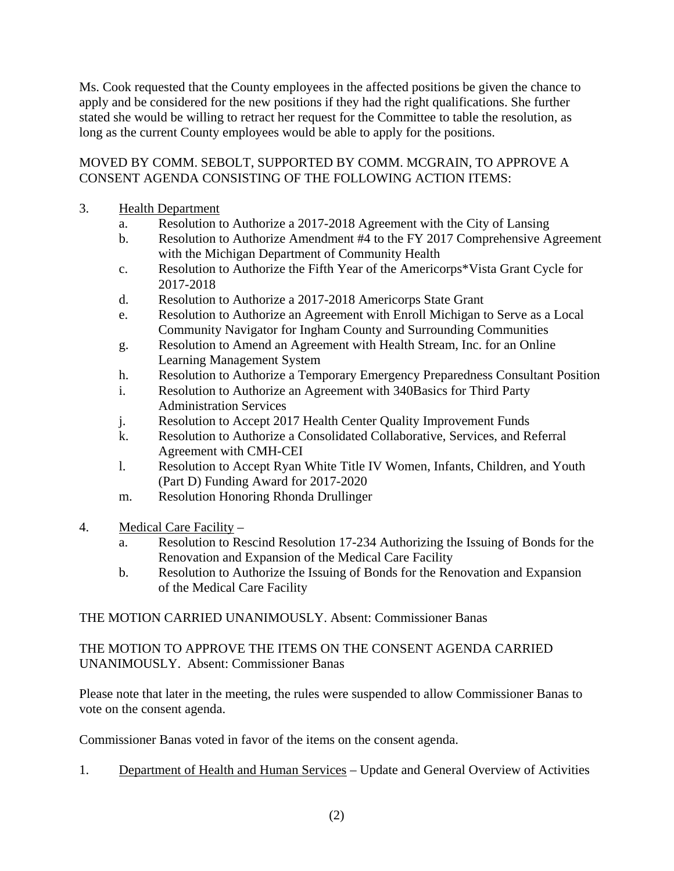Ms. Cook requested that the County employees in the affected positions be given the chance to apply and be considered for the new positions if they had the right qualifications. She further stated she would be willing to retract her request for the Committee to table the resolution, as long as the current County employees would be able to apply for the positions.

## MOVED BY COMM. SEBOLT, SUPPORTED BY COMM. MCGRAIN, TO APPROVE A CONSENT AGENDA CONSISTING OF THE FOLLOWING ACTION ITEMS:

## 3. Health Department

- a. Resolution to Authorize a 2017-2018 Agreement with the City of Lansing
- b. Resolution to Authorize Amendment #4 to the FY 2017 Comprehensive Agreement with the Michigan Department of Community Health
- c. Resolution to Authorize the Fifth Year of the Americorps\*Vista Grant Cycle for 2017-2018
- d. Resolution to Authorize a 2017-2018 Americorps State Grant
- e. Resolution to Authorize an Agreement with Enroll Michigan to Serve as a Local Community Navigator for Ingham County and Surrounding Communities
- g. Resolution to Amend an Agreement with Health Stream, Inc. for an Online Learning Management System
- h. Resolution to Authorize a Temporary Emergency Preparedness Consultant Position
- i. Resolution to Authorize an Agreement with 340Basics for Third Party Administration Services
- j. Resolution to Accept 2017 Health Center Quality Improvement Funds
- k. Resolution to Authorize a Consolidated Collaborative, Services, and Referral Agreement with CMH-CEI
- l. Resolution to Accept Ryan White Title IV Women, Infants, Children, and Youth (Part D) Funding Award for 2017-2020
- m. Resolution Honoring Rhonda Drullinger
- 4. Medical Care Facility
	- a. Resolution to Rescind Resolution 17-234 Authorizing the Issuing of Bonds for the Renovation and Expansion of the Medical Care Facility
	- b. Resolution to Authorize the Issuing of Bonds for the Renovation and Expansion of the Medical Care Facility

THE MOTION CARRIED UNANIMOUSLY. Absent: Commissioner Banas

THE MOTION TO APPROVE THE ITEMS ON THE CONSENT AGENDA CARRIED UNANIMOUSLY. Absent: Commissioner Banas

Please note that later in the meeting, the rules were suspended to allow Commissioner Banas to vote on the consent agenda.

Commissioner Banas voted in favor of the items on the consent agenda.

1. Department of Health and Human Services – Update and General Overview of Activities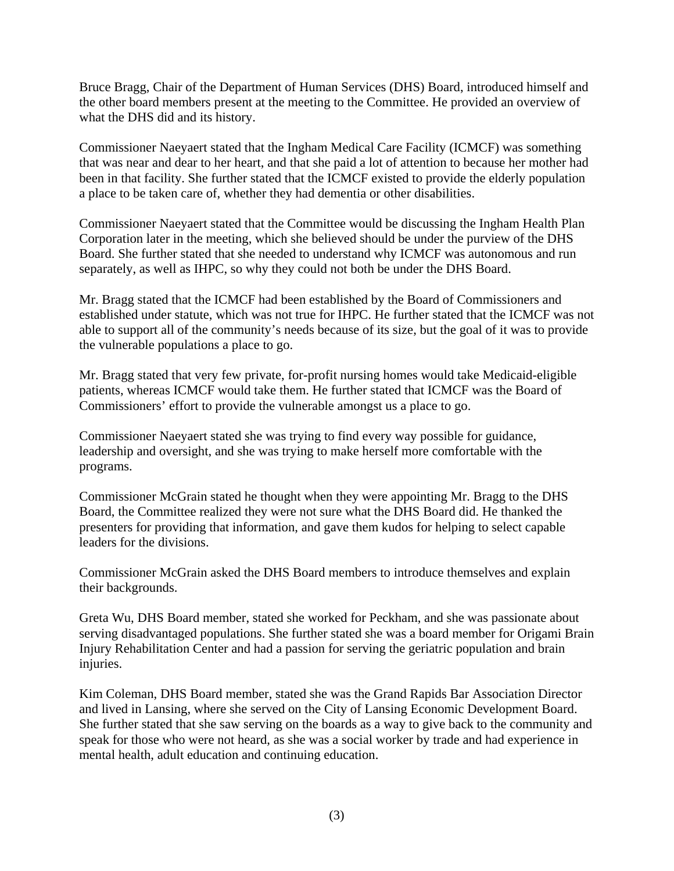Bruce Bragg, Chair of the Department of Human Services (DHS) Board, introduced himself and the other board members present at the meeting to the Committee. He provided an overview of what the DHS did and its history.

Commissioner Naeyaert stated that the Ingham Medical Care Facility (ICMCF) was something that was near and dear to her heart, and that she paid a lot of attention to because her mother had been in that facility. She further stated that the ICMCF existed to provide the elderly population a place to be taken care of, whether they had dementia or other disabilities.

Commissioner Naeyaert stated that the Committee would be discussing the Ingham Health Plan Corporation later in the meeting, which she believed should be under the purview of the DHS Board. She further stated that she needed to understand why ICMCF was autonomous and run separately, as well as IHPC, so why they could not both be under the DHS Board.

Mr. Bragg stated that the ICMCF had been established by the Board of Commissioners and established under statute, which was not true for IHPC. He further stated that the ICMCF was not able to support all of the community's needs because of its size, but the goal of it was to provide the vulnerable populations a place to go.

Mr. Bragg stated that very few private, for-profit nursing homes would take Medicaid-eligible patients, whereas ICMCF would take them. He further stated that ICMCF was the Board of Commissioners' effort to provide the vulnerable amongst us a place to go.

Commissioner Naeyaert stated she was trying to find every way possible for guidance, leadership and oversight, and she was trying to make herself more comfortable with the programs.

Commissioner McGrain stated he thought when they were appointing Mr. Bragg to the DHS Board, the Committee realized they were not sure what the DHS Board did. He thanked the presenters for providing that information, and gave them kudos for helping to select capable leaders for the divisions.

Commissioner McGrain asked the DHS Board members to introduce themselves and explain their backgrounds.

Greta Wu, DHS Board member, stated she worked for Peckham, and she was passionate about serving disadvantaged populations. She further stated she was a board member for Origami Brain Injury Rehabilitation Center and had a passion for serving the geriatric population and brain injuries.

Kim Coleman, DHS Board member, stated she was the Grand Rapids Bar Association Director and lived in Lansing, where she served on the City of Lansing Economic Development Board. She further stated that she saw serving on the boards as a way to give back to the community and speak for those who were not heard, as she was a social worker by trade and had experience in mental health, adult education and continuing education.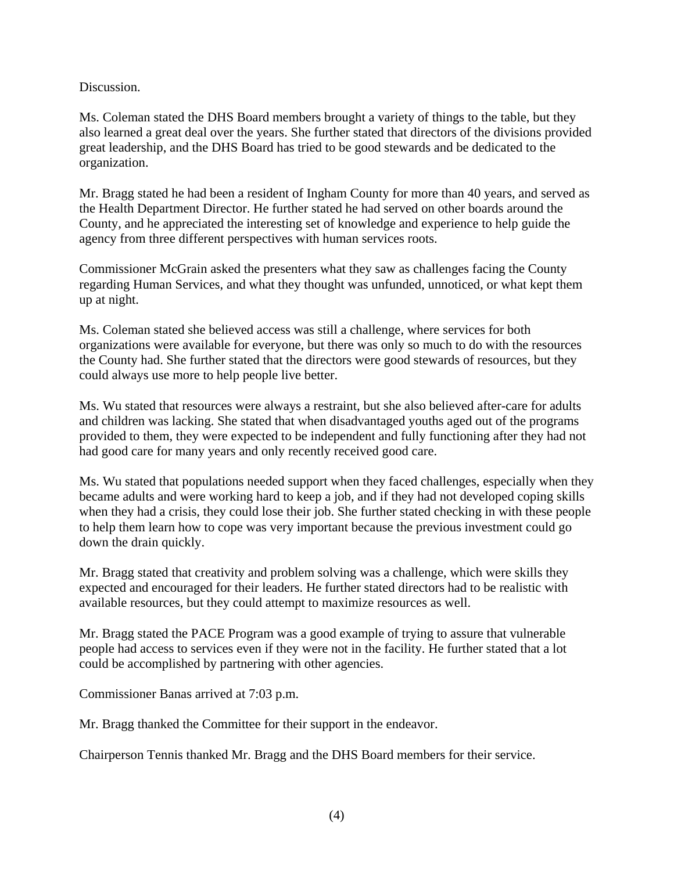#### Discussion.

Ms. Coleman stated the DHS Board members brought a variety of things to the table, but they also learned a great deal over the years. She further stated that directors of the divisions provided great leadership, and the DHS Board has tried to be good stewards and be dedicated to the organization.

Mr. Bragg stated he had been a resident of Ingham County for more than 40 years, and served as the Health Department Director. He further stated he had served on other boards around the County, and he appreciated the interesting set of knowledge and experience to help guide the agency from three different perspectives with human services roots.

Commissioner McGrain asked the presenters what they saw as challenges facing the County regarding Human Services, and what they thought was unfunded, unnoticed, or what kept them up at night.

Ms. Coleman stated she believed access was still a challenge, where services for both organizations were available for everyone, but there was only so much to do with the resources the County had. She further stated that the directors were good stewards of resources, but they could always use more to help people live better.

Ms. Wu stated that resources were always a restraint, but she also believed after-care for adults and children was lacking. She stated that when disadvantaged youths aged out of the programs provided to them, they were expected to be independent and fully functioning after they had not had good care for many years and only recently received good care.

Ms. Wu stated that populations needed support when they faced challenges, especially when they became adults and were working hard to keep a job, and if they had not developed coping skills when they had a crisis, they could lose their job. She further stated checking in with these people to help them learn how to cope was very important because the previous investment could go down the drain quickly.

Mr. Bragg stated that creativity and problem solving was a challenge, which were skills they expected and encouraged for their leaders. He further stated directors had to be realistic with available resources, but they could attempt to maximize resources as well.

Mr. Bragg stated the PACE Program was a good example of trying to assure that vulnerable people had access to services even if they were not in the facility. He further stated that a lot could be accomplished by partnering with other agencies.

Commissioner Banas arrived at 7:03 p.m.

Mr. Bragg thanked the Committee for their support in the endeavor.

Chairperson Tennis thanked Mr. Bragg and the DHS Board members for their service.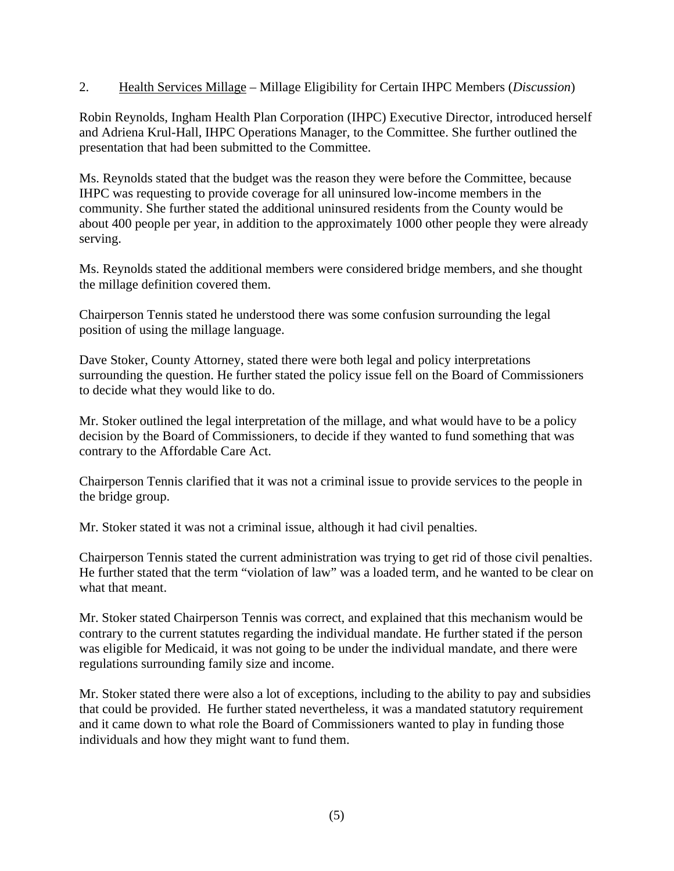2. Health Services Millage – Millage Eligibility for Certain IHPC Members (*Discussion*)

Robin Reynolds, Ingham Health Plan Corporation (IHPC) Executive Director, introduced herself and Adriena Krul-Hall, IHPC Operations Manager, to the Committee. She further outlined the presentation that had been submitted to the Committee.

Ms. Reynolds stated that the budget was the reason they were before the Committee, because IHPC was requesting to provide coverage for all uninsured low-income members in the community. She further stated the additional uninsured residents from the County would be about 400 people per year, in addition to the approximately 1000 other people they were already serving.

Ms. Reynolds stated the additional members were considered bridge members, and she thought the millage definition covered them.

Chairperson Tennis stated he understood there was some confusion surrounding the legal position of using the millage language.

Dave Stoker, County Attorney, stated there were both legal and policy interpretations surrounding the question. He further stated the policy issue fell on the Board of Commissioners to decide what they would like to do.

Mr. Stoker outlined the legal interpretation of the millage, and what would have to be a policy decision by the Board of Commissioners, to decide if they wanted to fund something that was contrary to the Affordable Care Act.

Chairperson Tennis clarified that it was not a criminal issue to provide services to the people in the bridge group.

Mr. Stoker stated it was not a criminal issue, although it had civil penalties.

Chairperson Tennis stated the current administration was trying to get rid of those civil penalties. He further stated that the term "violation of law" was a loaded term, and he wanted to be clear on what that meant.

Mr. Stoker stated Chairperson Tennis was correct, and explained that this mechanism would be contrary to the current statutes regarding the individual mandate. He further stated if the person was eligible for Medicaid, it was not going to be under the individual mandate, and there were regulations surrounding family size and income.

Mr. Stoker stated there were also a lot of exceptions, including to the ability to pay and subsidies that could be provided. He further stated nevertheless, it was a mandated statutory requirement and it came down to what role the Board of Commissioners wanted to play in funding those individuals and how they might want to fund them.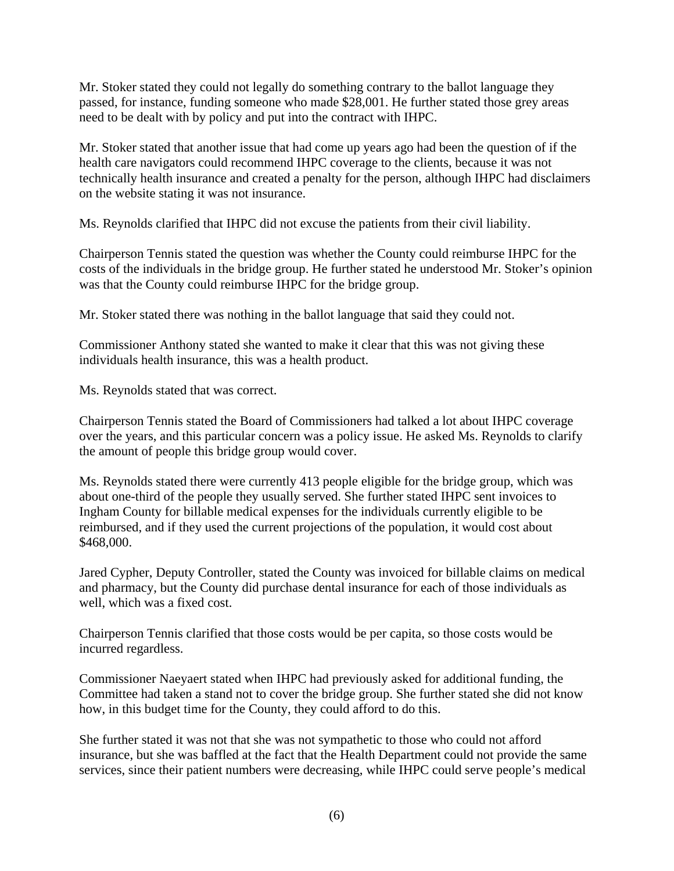Mr. Stoker stated they could not legally do something contrary to the ballot language they passed, for instance, funding someone who made \$28,001. He further stated those grey areas need to be dealt with by policy and put into the contract with IHPC.

Mr. Stoker stated that another issue that had come up years ago had been the question of if the health care navigators could recommend IHPC coverage to the clients, because it was not technically health insurance and created a penalty for the person, although IHPC had disclaimers on the website stating it was not insurance.

Ms. Reynolds clarified that IHPC did not excuse the patients from their civil liability.

Chairperson Tennis stated the question was whether the County could reimburse IHPC for the costs of the individuals in the bridge group. He further stated he understood Mr. Stoker's opinion was that the County could reimburse IHPC for the bridge group.

Mr. Stoker stated there was nothing in the ballot language that said they could not.

Commissioner Anthony stated she wanted to make it clear that this was not giving these individuals health insurance, this was a health product.

Ms. Reynolds stated that was correct.

Chairperson Tennis stated the Board of Commissioners had talked a lot about IHPC coverage over the years, and this particular concern was a policy issue. He asked Ms. Reynolds to clarify the amount of people this bridge group would cover.

Ms. Reynolds stated there were currently 413 people eligible for the bridge group, which was about one-third of the people they usually served. She further stated IHPC sent invoices to Ingham County for billable medical expenses for the individuals currently eligible to be reimbursed, and if they used the current projections of the population, it would cost about \$468,000.

Jared Cypher, Deputy Controller, stated the County was invoiced for billable claims on medical and pharmacy, but the County did purchase dental insurance for each of those individuals as well, which was a fixed cost.

Chairperson Tennis clarified that those costs would be per capita, so those costs would be incurred regardless.

Commissioner Naeyaert stated when IHPC had previously asked for additional funding, the Committee had taken a stand not to cover the bridge group. She further stated she did not know how, in this budget time for the County, they could afford to do this.

She further stated it was not that she was not sympathetic to those who could not afford insurance, but she was baffled at the fact that the Health Department could not provide the same services, since their patient numbers were decreasing, while IHPC could serve people's medical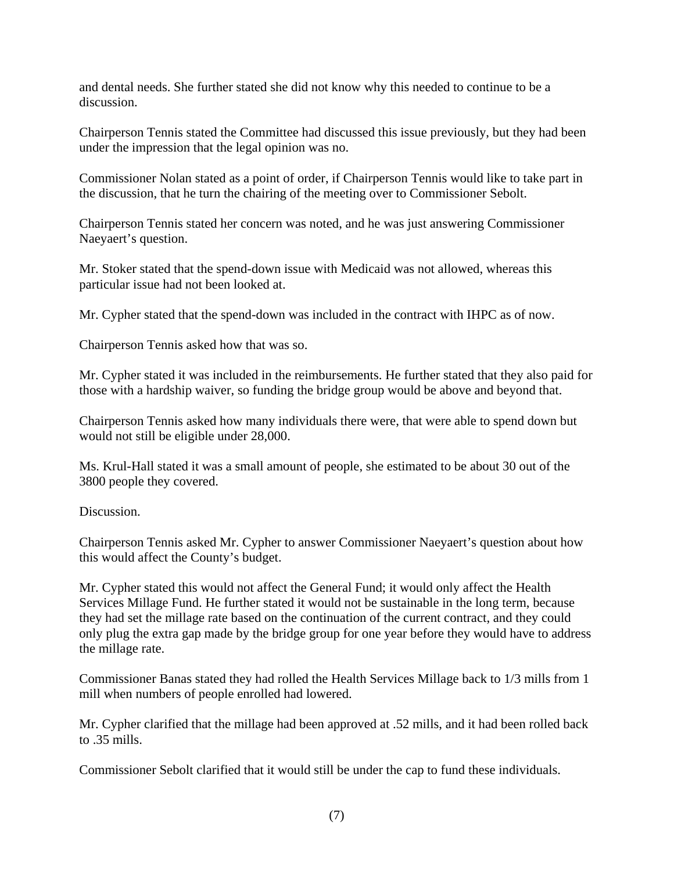and dental needs. She further stated she did not know why this needed to continue to be a discussion.

Chairperson Tennis stated the Committee had discussed this issue previously, but they had been under the impression that the legal opinion was no.

Commissioner Nolan stated as a point of order, if Chairperson Tennis would like to take part in the discussion, that he turn the chairing of the meeting over to Commissioner Sebolt.

Chairperson Tennis stated her concern was noted, and he was just answering Commissioner Naeyaert's question.

Mr. Stoker stated that the spend-down issue with Medicaid was not allowed, whereas this particular issue had not been looked at.

Mr. Cypher stated that the spend-down was included in the contract with IHPC as of now.

Chairperson Tennis asked how that was so.

Mr. Cypher stated it was included in the reimbursements. He further stated that they also paid for those with a hardship waiver, so funding the bridge group would be above and beyond that.

Chairperson Tennis asked how many individuals there were, that were able to spend down but would not still be eligible under 28,000.

Ms. Krul-Hall stated it was a small amount of people, she estimated to be about 30 out of the 3800 people they covered.

Discussion.

Chairperson Tennis asked Mr. Cypher to answer Commissioner Naeyaert's question about how this would affect the County's budget.

Mr. Cypher stated this would not affect the General Fund; it would only affect the Health Services Millage Fund. He further stated it would not be sustainable in the long term, because they had set the millage rate based on the continuation of the current contract, and they could only plug the extra gap made by the bridge group for one year before they would have to address the millage rate.

Commissioner Banas stated they had rolled the Health Services Millage back to 1/3 mills from 1 mill when numbers of people enrolled had lowered.

Mr. Cypher clarified that the millage had been approved at .52 mills, and it had been rolled back to .35 mills.

Commissioner Sebolt clarified that it would still be under the cap to fund these individuals.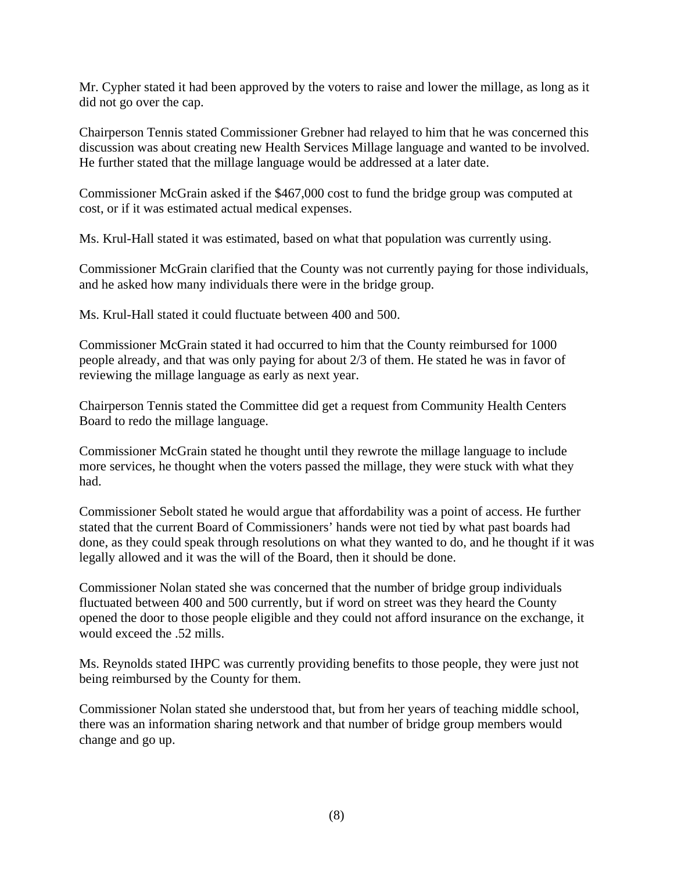Mr. Cypher stated it had been approved by the voters to raise and lower the millage, as long as it did not go over the cap.

Chairperson Tennis stated Commissioner Grebner had relayed to him that he was concerned this discussion was about creating new Health Services Millage language and wanted to be involved. He further stated that the millage language would be addressed at a later date.

Commissioner McGrain asked if the \$467,000 cost to fund the bridge group was computed at cost, or if it was estimated actual medical expenses.

Ms. Krul-Hall stated it was estimated, based on what that population was currently using.

Commissioner McGrain clarified that the County was not currently paying for those individuals, and he asked how many individuals there were in the bridge group.

Ms. Krul-Hall stated it could fluctuate between 400 and 500.

Commissioner McGrain stated it had occurred to him that the County reimbursed for 1000 people already, and that was only paying for about 2/3 of them. He stated he was in favor of reviewing the millage language as early as next year.

Chairperson Tennis stated the Committee did get a request from Community Health Centers Board to redo the millage language.

Commissioner McGrain stated he thought until they rewrote the millage language to include more services, he thought when the voters passed the millage, they were stuck with what they had.

Commissioner Sebolt stated he would argue that affordability was a point of access. He further stated that the current Board of Commissioners' hands were not tied by what past boards had done, as they could speak through resolutions on what they wanted to do, and he thought if it was legally allowed and it was the will of the Board, then it should be done.

Commissioner Nolan stated she was concerned that the number of bridge group individuals fluctuated between 400 and 500 currently, but if word on street was they heard the County opened the door to those people eligible and they could not afford insurance on the exchange, it would exceed the .52 mills.

Ms. Reynolds stated IHPC was currently providing benefits to those people, they were just not being reimbursed by the County for them.

Commissioner Nolan stated she understood that, but from her years of teaching middle school, there was an information sharing network and that number of bridge group members would change and go up.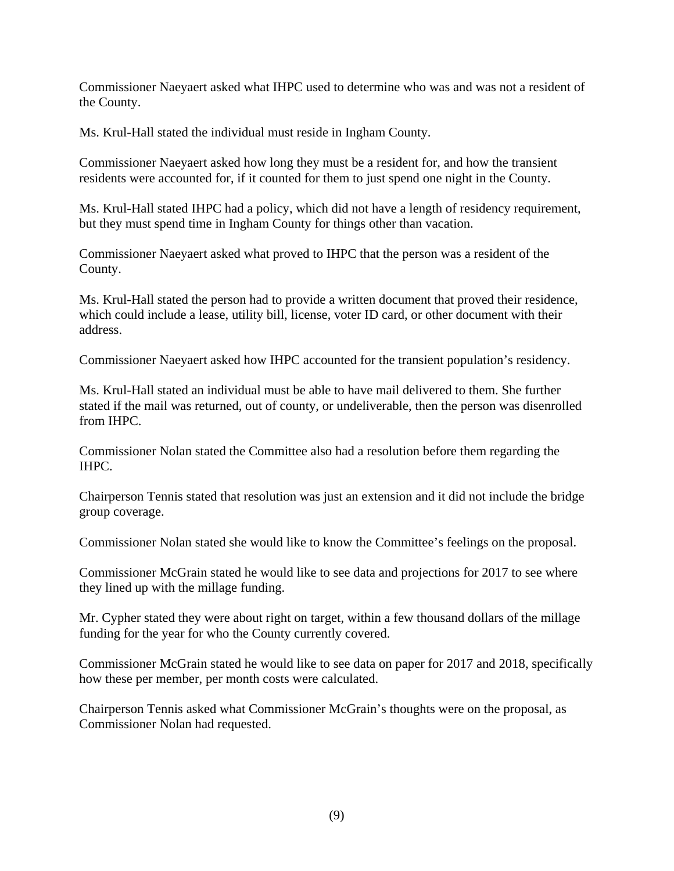Commissioner Naeyaert asked what IHPC used to determine who was and was not a resident of the County.

Ms. Krul-Hall stated the individual must reside in Ingham County.

Commissioner Naeyaert asked how long they must be a resident for, and how the transient residents were accounted for, if it counted for them to just spend one night in the County.

Ms. Krul-Hall stated IHPC had a policy, which did not have a length of residency requirement, but they must spend time in Ingham County for things other than vacation.

Commissioner Naeyaert asked what proved to IHPC that the person was a resident of the County.

Ms. Krul-Hall stated the person had to provide a written document that proved their residence, which could include a lease, utility bill, license, voter ID card, or other document with their address.

Commissioner Naeyaert asked how IHPC accounted for the transient population's residency.

Ms. Krul-Hall stated an individual must be able to have mail delivered to them. She further stated if the mail was returned, out of county, or undeliverable, then the person was disenrolled from IHPC.

Commissioner Nolan stated the Committee also had a resolution before them regarding the IHPC.

Chairperson Tennis stated that resolution was just an extension and it did not include the bridge group coverage.

Commissioner Nolan stated she would like to know the Committee's feelings on the proposal.

Commissioner McGrain stated he would like to see data and projections for 2017 to see where they lined up with the millage funding.

Mr. Cypher stated they were about right on target, within a few thousand dollars of the millage funding for the year for who the County currently covered.

Commissioner McGrain stated he would like to see data on paper for 2017 and 2018, specifically how these per member, per month costs were calculated.

Chairperson Tennis asked what Commissioner McGrain's thoughts were on the proposal, as Commissioner Nolan had requested.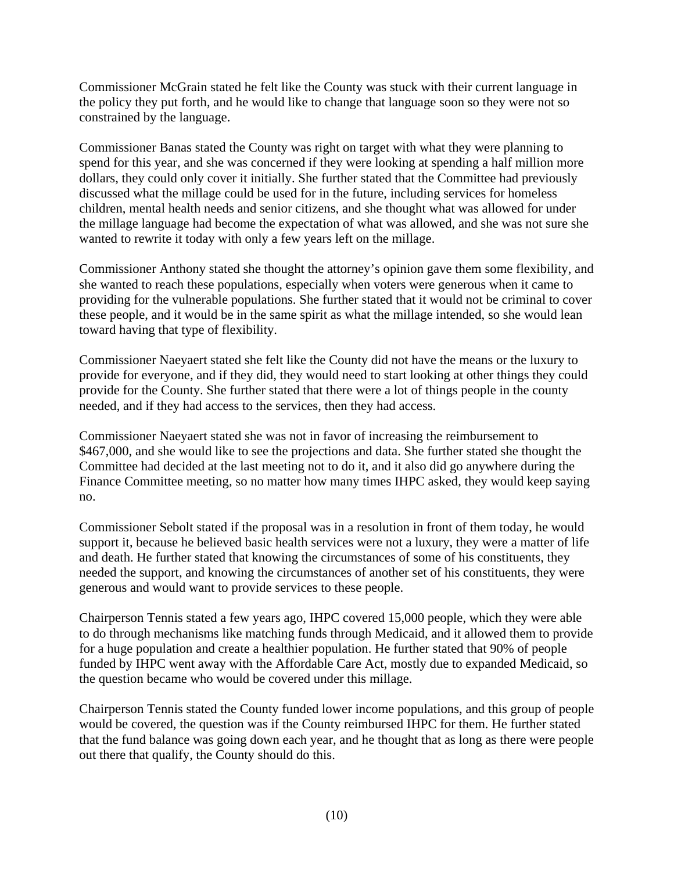Commissioner McGrain stated he felt like the County was stuck with their current language in the policy they put forth, and he would like to change that language soon so they were not so constrained by the language.

Commissioner Banas stated the County was right on target with what they were planning to spend for this year, and she was concerned if they were looking at spending a half million more dollars, they could only cover it initially. She further stated that the Committee had previously discussed what the millage could be used for in the future, including services for homeless children, mental health needs and senior citizens, and she thought what was allowed for under the millage language had become the expectation of what was allowed, and she was not sure she wanted to rewrite it today with only a few years left on the millage.

Commissioner Anthony stated she thought the attorney's opinion gave them some flexibility, and she wanted to reach these populations, especially when voters were generous when it came to providing for the vulnerable populations. She further stated that it would not be criminal to cover these people, and it would be in the same spirit as what the millage intended, so she would lean toward having that type of flexibility.

Commissioner Naeyaert stated she felt like the County did not have the means or the luxury to provide for everyone, and if they did, they would need to start looking at other things they could provide for the County. She further stated that there were a lot of things people in the county needed, and if they had access to the services, then they had access.

Commissioner Naeyaert stated she was not in favor of increasing the reimbursement to \$467,000, and she would like to see the projections and data. She further stated she thought the Committee had decided at the last meeting not to do it, and it also did go anywhere during the Finance Committee meeting, so no matter how many times IHPC asked, they would keep saying no.

Commissioner Sebolt stated if the proposal was in a resolution in front of them today, he would support it, because he believed basic health services were not a luxury, they were a matter of life and death. He further stated that knowing the circumstances of some of his constituents, they needed the support, and knowing the circumstances of another set of his constituents, they were generous and would want to provide services to these people.

Chairperson Tennis stated a few years ago, IHPC covered 15,000 people, which they were able to do through mechanisms like matching funds through Medicaid, and it allowed them to provide for a huge population and create a healthier population. He further stated that 90% of people funded by IHPC went away with the Affordable Care Act, mostly due to expanded Medicaid, so the question became who would be covered under this millage.

Chairperson Tennis stated the County funded lower income populations, and this group of people would be covered, the question was if the County reimbursed IHPC for them. He further stated that the fund balance was going down each year, and he thought that as long as there were people out there that qualify, the County should do this.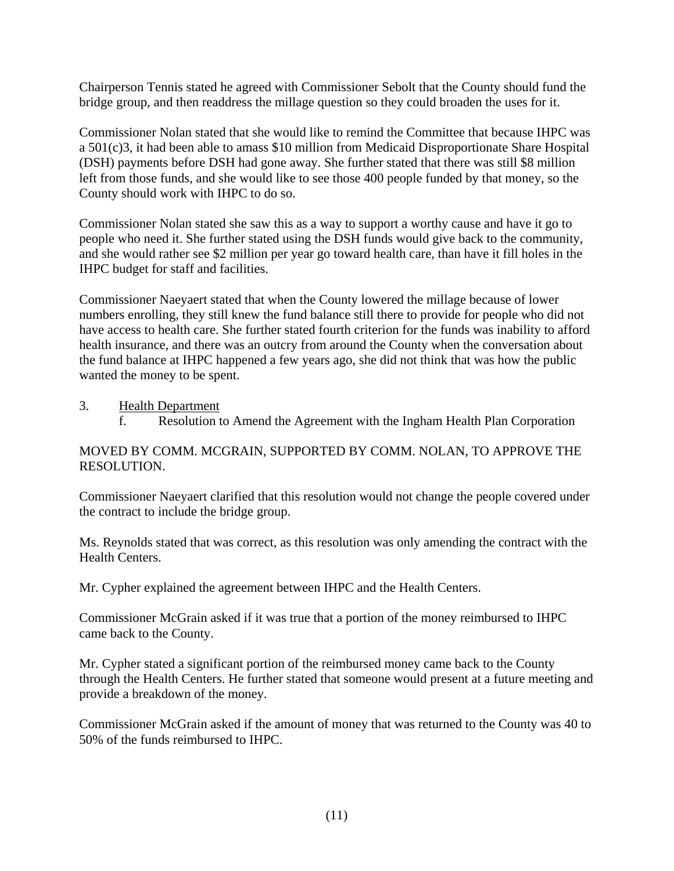Chairperson Tennis stated he agreed with Commissioner Sebolt that the County should fund the bridge group, and then readdress the millage question so they could broaden the uses for it.

Commissioner Nolan stated that she would like to remind the Committee that because IHPC was a 501(c)3, it had been able to amass \$10 million from Medicaid Disproportionate Share Hospital (DSH) payments before DSH had gone away. She further stated that there was still \$8 million left from those funds, and she would like to see those 400 people funded by that money, so the County should work with IHPC to do so.

Commissioner Nolan stated she saw this as a way to support a worthy cause and have it go to people who need it. She further stated using the DSH funds would give back to the community, and she would rather see \$2 million per year go toward health care, than have it fill holes in the IHPC budget for staff and facilities.

Commissioner Naeyaert stated that when the County lowered the millage because of lower numbers enrolling, they still knew the fund balance still there to provide for people who did not have access to health care. She further stated fourth criterion for the funds was inability to afford health insurance, and there was an outcry from around the County when the conversation about the fund balance at IHPC happened a few years ago, she did not think that was how the public wanted the money to be spent.

3. Health Department

f. Resolution to Amend the Agreement with the Ingham Health Plan Corporation

## MOVED BY COMM. MCGRAIN, SUPPORTED BY COMM. NOLAN, TO APPROVE THE RESOLUTION.

Commissioner Naeyaert clarified that this resolution would not change the people covered under the contract to include the bridge group.

Ms. Reynolds stated that was correct, as this resolution was only amending the contract with the Health Centers.

Mr. Cypher explained the agreement between IHPC and the Health Centers.

Commissioner McGrain asked if it was true that a portion of the money reimbursed to IHPC came back to the County.

Mr. Cypher stated a significant portion of the reimbursed money came back to the County through the Health Centers. He further stated that someone would present at a future meeting and provide a breakdown of the money.

Commissioner McGrain asked if the amount of money that was returned to the County was 40 to 50% of the funds reimbursed to IHPC.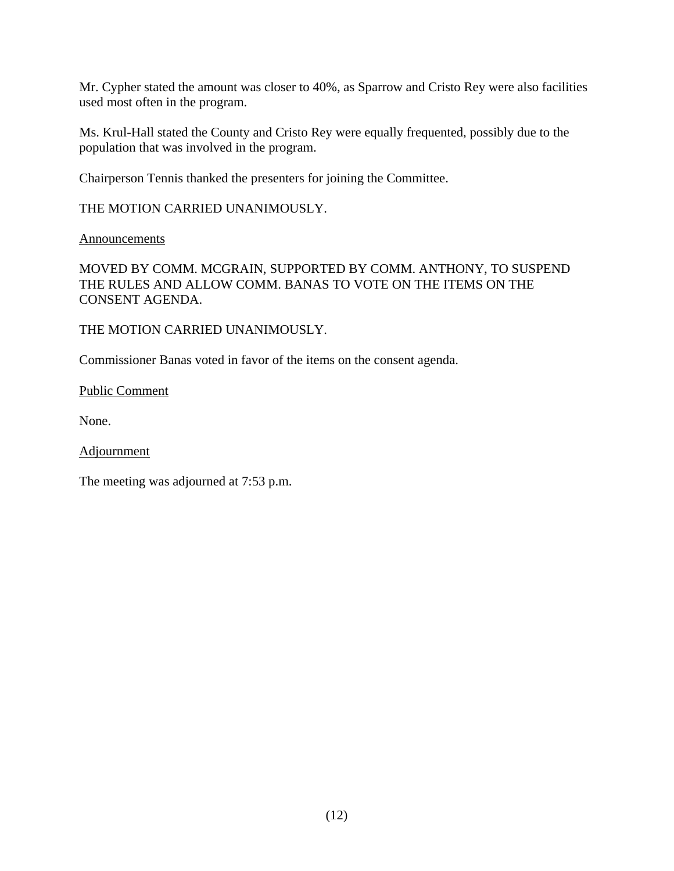Mr. Cypher stated the amount was closer to 40%, as Sparrow and Cristo Rey were also facilities used most often in the program.

Ms. Krul-Hall stated the County and Cristo Rey were equally frequented, possibly due to the population that was involved in the program.

Chairperson Tennis thanked the presenters for joining the Committee.

THE MOTION CARRIED UNANIMOUSLY.

Announcements

MOVED BY COMM. MCGRAIN, SUPPORTED BY COMM. ANTHONY, TO SUSPEND THE RULES AND ALLOW COMM. BANAS TO VOTE ON THE ITEMS ON THE CONSENT AGENDA.

THE MOTION CARRIED UNANIMOUSLY.

Commissioner Banas voted in favor of the items on the consent agenda.

Public Comment

None.

Adjournment

The meeting was adjourned at 7:53 p.m.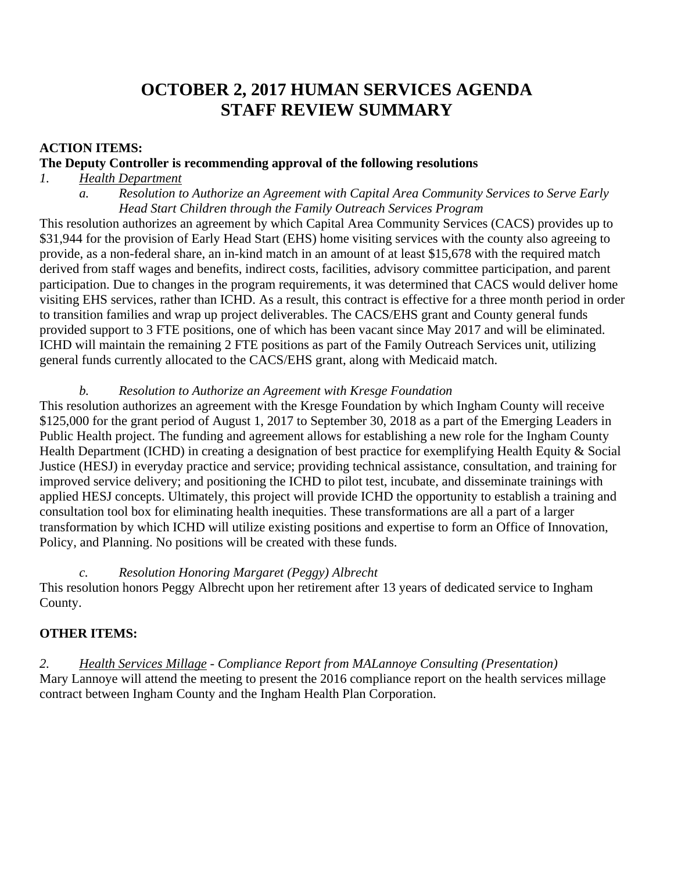# **OCTOBER 2, 2017 HUMAN SERVICES AGENDA STAFF REVIEW SUMMARY**

## **ACTION ITEMS:**

#### **The Deputy Controller is recommending approval of the following resolutions**

# *1. Health Department*

*a. Resolution to Authorize an Agreement with Capital Area Community Services to Serve Early Head Start Children through the Family Outreach Services Program* 

This resolution authorizes an agreement by which Capital Area Community Services (CACS) provides up to \$31,944 for the provision of Early Head Start (EHS) home visiting services with the county also agreeing to provide, as a non-federal share, an in-kind match in an amount of at least \$15,678 with the required match derived from staff wages and benefits, indirect costs, facilities, advisory committee participation, and parent participation. Due to changes in the program requirements, it was determined that CACS would deliver home visiting EHS services, rather than ICHD. As a result, this contract is effective for a three month period in order to transition families and wrap up project deliverables. The CACS/EHS grant and County general funds provided support to 3 FTE positions, one of which has been vacant since May 2017 and will be eliminated. ICHD will maintain the remaining 2 FTE positions as part of the Family Outreach Services unit, utilizing general funds currently allocated to the CACS/EHS grant, along with Medicaid match.

#### *b. Resolution to Authorize an Agreement with Kresge Foundation*

This resolution authorizes an agreement with the Kresge Foundation by which Ingham County will receive \$125,000 for the grant period of August 1, 2017 to September 30, 2018 as a part of the Emerging Leaders in Public Health project. The funding and agreement allows for establishing a new role for the Ingham County Health Department (ICHD) in creating a designation of best practice for exemplifying Health Equity & Social Justice (HESJ) in everyday practice and service; providing technical assistance, consultation, and training for improved service delivery; and positioning the ICHD to pilot test, incubate, and disseminate trainings with applied HESJ concepts. Ultimately, this project will provide ICHD the opportunity to establish a training and consultation tool box for eliminating health inequities. These transformations are all a part of a larger transformation by which ICHD will utilize existing positions and expertise to form an Office of Innovation, Policy, and Planning. No positions will be created with these funds.

## *c. Resolution Honoring Margaret (Peggy) Albrecht*

This resolution honors Peggy Albrecht upon her retirement after 13 years of dedicated service to Ingham County.

## **OTHER ITEMS:**

*2. Health Services Millage - Compliance Report from MALannoye Consulting (Presentation)*  Mary Lannoye will attend the meeting to present the 2016 compliance report on the health services millage contract between Ingham County and the Ingham Health Plan Corporation.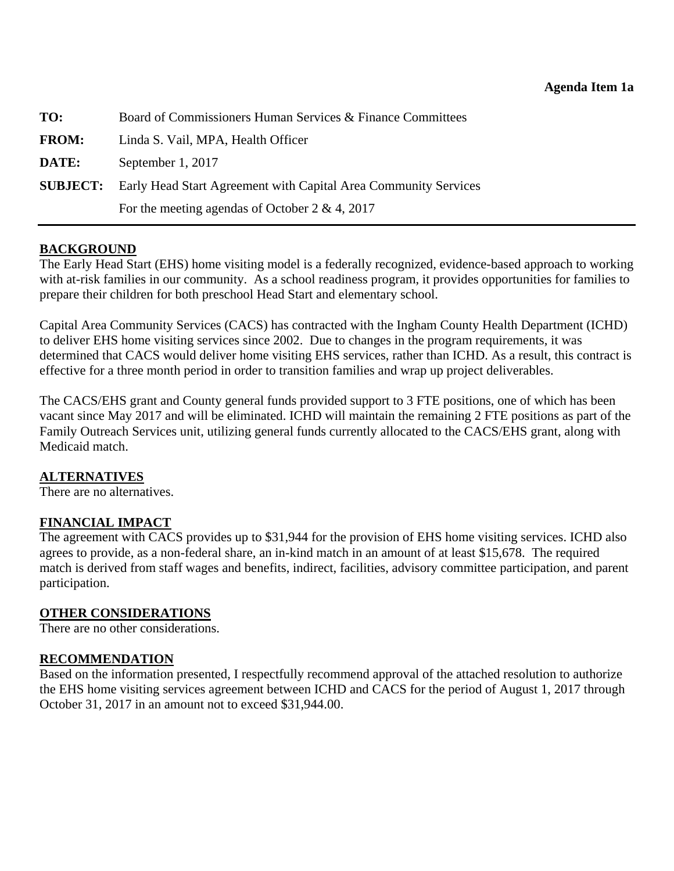<span id="page-14-0"></span>

| TO:          | Board of Commissioners Human Services & Finance Committees                      |  |  |  |
|--------------|---------------------------------------------------------------------------------|--|--|--|
| <b>FROM:</b> | Linda S. Vail, MPA, Health Officer                                              |  |  |  |
| DATE:        | September 1, 2017                                                               |  |  |  |
|              | <b>SUBJECT:</b> Early Head Start Agreement with Capital Area Community Services |  |  |  |
|              | For the meeting agendas of October 2 & 4, 2017                                  |  |  |  |

#### **BACKGROUND**

The Early Head Start (EHS) home visiting model is a federally recognized, evidence-based approach to working with at-risk families in our community. As a school readiness program, it provides opportunities for families to prepare their children for both preschool Head Start and elementary school.

Capital Area Community Services (CACS) has contracted with the Ingham County Health Department (ICHD) to deliver EHS home visiting services since 2002. Due to changes in the program requirements, it was determined that CACS would deliver home visiting EHS services, rather than ICHD. As a result, this contract is effective for a three month period in order to transition families and wrap up project deliverables.

The CACS/EHS grant and County general funds provided support to 3 FTE positions, one of which has been vacant since May 2017 and will be eliminated. ICHD will maintain the remaining 2 FTE positions as part of the Family Outreach Services unit, utilizing general funds currently allocated to the CACS/EHS grant, along with Medicaid match.

#### **ALTERNATIVES**

There are no alternatives.

## **FINANCIAL IMPACT**

The agreement with CACS provides up to \$31,944 for the provision of EHS home visiting services. ICHD also agrees to provide, as a non-federal share, an in-kind match in an amount of at least \$15,678. The required match is derived from staff wages and benefits, indirect, facilities, advisory committee participation, and parent participation.

#### **OTHER CONSIDERATIONS**

There are no other considerations.

## **RECOMMENDATION**

Based on the information presented, I respectfully recommend approval of the attached resolution to authorize the EHS home visiting services agreement between ICHD and CACS for the period of August 1, 2017 through October 31, 2017 in an amount not to exceed \$31,944.00.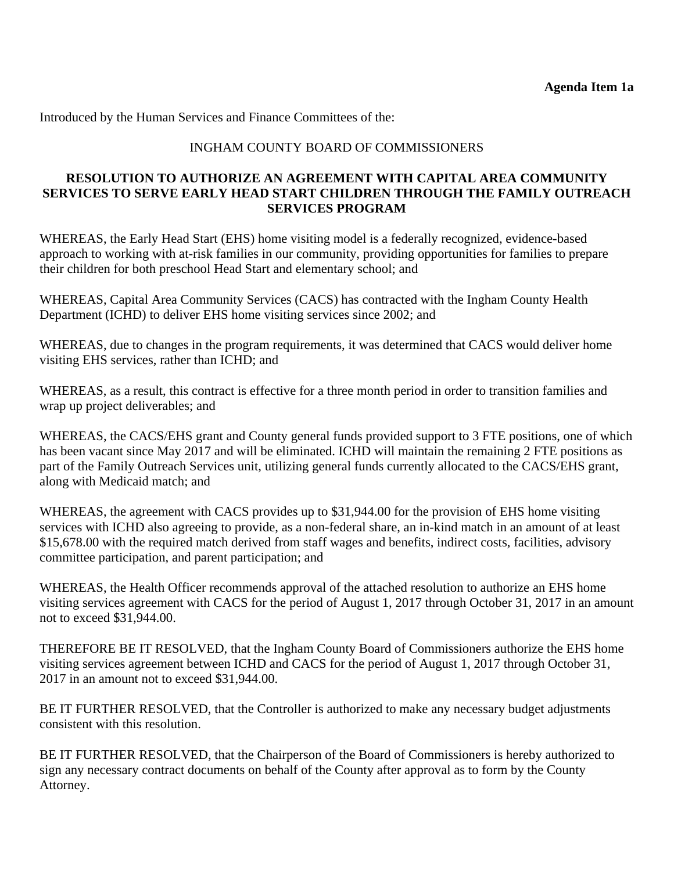Introduced by the Human Services and Finance Committees of the:

#### INGHAM COUNTY BOARD OF COMMISSIONERS

#### **RESOLUTION TO AUTHORIZE AN AGREEMENT WITH CAPITAL AREA COMMUNITY SERVICES TO SERVE EARLY HEAD START CHILDREN THROUGH THE FAMILY OUTREACH SERVICES PROGRAM**

WHEREAS, the Early Head Start (EHS) home visiting model is a federally recognized, evidence-based approach to working with at-risk families in our community, providing opportunities for families to prepare their children for both preschool Head Start and elementary school; and

WHEREAS, Capital Area Community Services (CACS) has contracted with the Ingham County Health Department (ICHD) to deliver EHS home visiting services since 2002; and

WHEREAS, due to changes in the program requirements, it was determined that CACS would deliver home visiting EHS services, rather than ICHD; and

WHEREAS, as a result, this contract is effective for a three month period in order to transition families and wrap up project deliverables; and

WHEREAS, the CACS/EHS grant and County general funds provided support to 3 FTE positions, one of which has been vacant since May 2017 and will be eliminated. ICHD will maintain the remaining 2 FTE positions as part of the Family Outreach Services unit, utilizing general funds currently allocated to the CACS/EHS grant, along with Medicaid match; and

WHEREAS, the agreement with CACS provides up to \$31,944.00 for the provision of EHS home visiting services with ICHD also agreeing to provide, as a non-federal share, an in-kind match in an amount of at least \$15,678.00 with the required match derived from staff wages and benefits, indirect costs, facilities, advisory committee participation, and parent participation; and

WHEREAS, the Health Officer recommends approval of the attached resolution to authorize an EHS home visiting services agreement with CACS for the period of August 1, 2017 through October 31, 2017 in an amount not to exceed \$31,944.00.

THEREFORE BE IT RESOLVED, that the Ingham County Board of Commissioners authorize the EHS home visiting services agreement between ICHD and CACS for the period of August 1, 2017 through October 31, 2017 in an amount not to exceed \$31,944.00.

BE IT FURTHER RESOLVED, that the Controller is authorized to make any necessary budget adjustments consistent with this resolution.

BE IT FURTHER RESOLVED, that the Chairperson of the Board of Commissioners is hereby authorized to sign any necessary contract documents on behalf of the County after approval as to form by the County Attorney.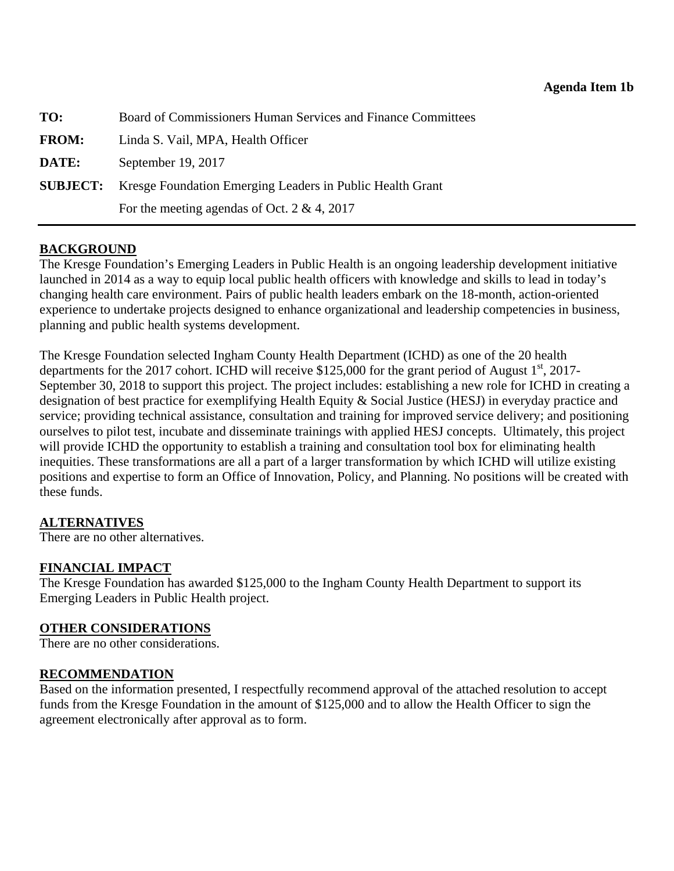<span id="page-16-0"></span>

| TO:          | Board of Commissioners Human Services and Finance Committees              |  |  |
|--------------|---------------------------------------------------------------------------|--|--|
| <b>FROM:</b> | Linda S. Vail, MPA, Health Officer                                        |  |  |
| DATE:        | September 19, 2017                                                        |  |  |
|              | <b>SUBJECT:</b> Kresge Foundation Emerging Leaders in Public Health Grant |  |  |
|              | For the meeting agendas of Oct. 2 & 4, 2017                               |  |  |

## **BACKGROUND**

The Kresge Foundation's Emerging Leaders in Public Health is an ongoing leadership development initiative launched in 2014 as a way to equip local public health officers with knowledge and skills to lead in today's changing health care environment. Pairs of public health leaders embark on the 18-month, action-oriented experience to undertake projects designed to enhance organizational and leadership competencies in business, planning and public health systems development.

The Kresge Foundation selected Ingham County Health Department (ICHD) as one of the 20 health departments for the 2017 cohort. ICHD will receive \$125,000 for the grant period of August  $1<sup>st</sup>$ , 2017-September 30, 2018 to support this project. The project includes: establishing a new role for ICHD in creating a designation of best practice for exemplifying Health Equity & Social Justice (HESJ) in everyday practice and service; providing technical assistance, consultation and training for improved service delivery; and positioning ourselves to pilot test, incubate and disseminate trainings with applied HESJ concepts. Ultimately, this project will provide ICHD the opportunity to establish a training and consultation tool box for eliminating health inequities. These transformations are all a part of a larger transformation by which ICHD will utilize existing positions and expertise to form an Office of Innovation, Policy, and Planning. No positions will be created with these funds.

## **ALTERNATIVES**

There are no other alternatives.

#### **FINANCIAL IMPACT**

The Kresge Foundation has awarded \$125,000 to the Ingham County Health Department to support its Emerging Leaders in Public Health project.

#### **OTHER CONSIDERATIONS**

There are no other considerations.

## **RECOMMENDATION**

Based on the information presented, I respectfully recommend approval of the attached resolution to accept funds from the Kresge Foundation in the amount of \$125,000 and to allow the Health Officer to sign the agreement electronically after approval as to form.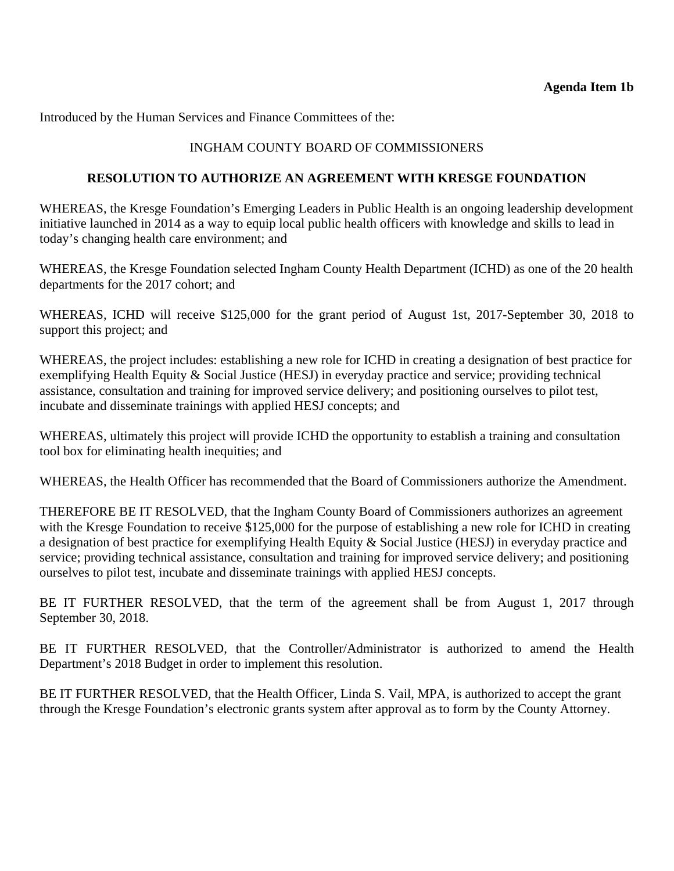Introduced by the Human Services and Finance Committees of the:

## INGHAM COUNTY BOARD OF COMMISSIONERS

#### **RESOLUTION TO AUTHORIZE AN AGREEMENT WITH KRESGE FOUNDATION**

WHEREAS, the Kresge Foundation's Emerging Leaders in Public Health is an ongoing leadership development initiative launched in 2014 as a way to equip local public health officers with knowledge and skills to lead in today's changing health care environment; and

WHEREAS, the Kresge Foundation selected Ingham County Health Department (ICHD) as one of the 20 health departments for the 2017 cohort; and

WHEREAS, ICHD will receive \$125,000 for the grant period of August 1st, 2017-September 30, 2018 to support this project; and

WHEREAS, the project includes: establishing a new role for ICHD in creating a designation of best practice for exemplifying Health Equity & Social Justice (HESJ) in everyday practice and service; providing technical assistance, consultation and training for improved service delivery; and positioning ourselves to pilot test, incubate and disseminate trainings with applied HESJ concepts; and

WHEREAS, ultimately this project will provide ICHD the opportunity to establish a training and consultation tool box for eliminating health inequities; and

WHEREAS, the Health Officer has recommended that the Board of Commissioners authorize the Amendment.

THEREFORE BE IT RESOLVED, that the Ingham County Board of Commissioners authorizes an agreement with the Kresge Foundation to receive \$125,000 for the purpose of establishing a new role for ICHD in creating a designation of best practice for exemplifying Health Equity & Social Justice (HESJ) in everyday practice and service; providing technical assistance, consultation and training for improved service delivery; and positioning ourselves to pilot test, incubate and disseminate trainings with applied HESJ concepts.

BE IT FURTHER RESOLVED, that the term of the agreement shall be from August 1, 2017 through September 30, 2018.

BE IT FURTHER RESOLVED, that the Controller/Administrator is authorized to amend the Health Department's 2018 Budget in order to implement this resolution.

BE IT FURTHER RESOLVED, that the Health Officer, Linda S. Vail, MPA, is authorized to accept the grant through the Kresge Foundation's electronic grants system after approval as to form by the County Attorney.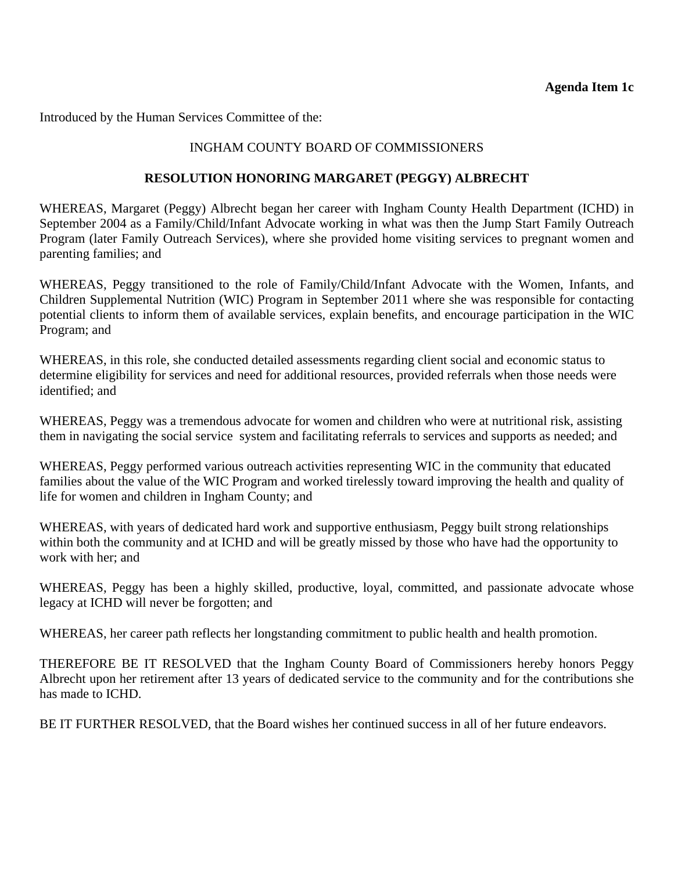<span id="page-18-0"></span>Introduced by the Human Services Committee of the:

## INGHAM COUNTY BOARD OF COMMISSIONERS

#### **RESOLUTION HONORING MARGARET (PEGGY) ALBRECHT**

WHEREAS, Margaret (Peggy) Albrecht began her career with Ingham County Health Department (ICHD) in September 2004 as a Family/Child/Infant Advocate working in what was then the Jump Start Family Outreach Program (later Family Outreach Services), where she provided home visiting services to pregnant women and parenting families; and

WHEREAS, Peggy transitioned to the role of Family/Child/Infant Advocate with the Women, Infants, and Children Supplemental Nutrition (WIC) Program in September 2011 where she was responsible for contacting potential clients to inform them of available services, explain benefits, and encourage participation in the WIC Program; and

WHEREAS, in this role, she conducted detailed assessments regarding client social and economic status to determine eligibility for services and need for additional resources, provided referrals when those needs were identified; and

WHEREAS, Peggy was a tremendous advocate for women and children who were at nutritional risk, assisting them in navigating the social service system and facilitating referrals to services and supports as needed; and

WHEREAS, Peggy performed various outreach activities representing WIC in the community that educated families about the value of the WIC Program and worked tirelessly toward improving the health and quality of life for women and children in Ingham County; and

WHEREAS, with years of dedicated hard work and supportive enthusiasm, Peggy built strong relationships within both the community and at ICHD and will be greatly missed by those who have had the opportunity to work with her; and

WHEREAS, Peggy has been a highly skilled, productive, loyal, committed, and passionate advocate whose legacy at ICHD will never be forgotten; and

WHEREAS, her career path reflects her longstanding commitment to public health and health promotion.

THEREFORE BE IT RESOLVED that the Ingham County Board of Commissioners hereby honors Peggy Albrecht upon her retirement after 13 years of dedicated service to the community and for the contributions she has made to ICHD.

BE IT FURTHER RESOLVED, that the Board wishes her continued success in all of her future endeavors.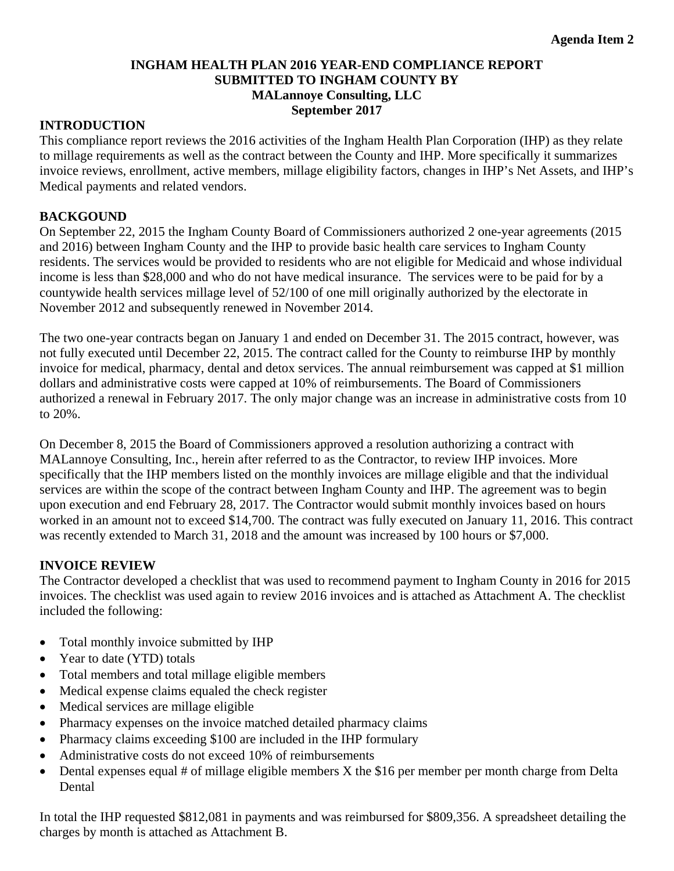## **INGHAM HEALTH PLAN 2016 YEAR-END COMPLIANCE REPORT SUBMITTED TO INGHAM COUNTY BY MALannoye Consulting, LLC September 2017**

#### <span id="page-19-0"></span>**INTRODUCTION**

This compliance report reviews the 2016 activities of the Ingham Health Plan Corporation (IHP) as they relate to millage requirements as well as the contract between the County and IHP. More specifically it summarizes invoice reviews, enrollment, active members, millage eligibility factors, changes in IHP's Net Assets, and IHP's Medical payments and related vendors.

#### **BACKGOUND**

On September 22, 2015 the Ingham County Board of Commissioners authorized 2 one-year agreements (2015 and 2016) between Ingham County and the IHP to provide basic health care services to Ingham County residents. The services would be provided to residents who are not eligible for Medicaid and whose individual income is less than \$28,000 and who do not have medical insurance. The services were to be paid for by a countywide health services millage level of 52/100 of one mill originally authorized by the electorate in November 2012 and subsequently renewed in November 2014.

The two one-year contracts began on January 1 and ended on December 31. The 2015 contract, however, was not fully executed until December 22, 2015. The contract called for the County to reimburse IHP by monthly invoice for medical, pharmacy, dental and detox services. The annual reimbursement was capped at \$1 million dollars and administrative costs were capped at 10% of reimbursements. The Board of Commissioners authorized a renewal in February 2017. The only major change was an increase in administrative costs from 10 to 20%.

On December 8, 2015 the Board of Commissioners approved a resolution authorizing a contract with MALannoye Consulting, Inc., herein after referred to as the Contractor, to review IHP invoices. More specifically that the IHP members listed on the monthly invoices are millage eligible and that the individual services are within the scope of the contract between Ingham County and IHP. The agreement was to begin upon execution and end February 28, 2017. The Contractor would submit monthly invoices based on hours worked in an amount not to exceed \$14,700. The contract was fully executed on January 11, 2016. This contract was recently extended to March 31, 2018 and the amount was increased by 100 hours or \$7,000.

## **INVOICE REVIEW**

The Contractor developed a checklist that was used to recommend payment to Ingham County in 2016 for 2015 invoices. The checklist was used again to review 2016 invoices and is attached as Attachment A. The checklist included the following:

- Total monthly invoice submitted by IHP
- Year to date (YTD) totals
- Total members and total millage eligible members
- Medical expense claims equaled the check register
- Medical services are millage eligible
- Pharmacy expenses on the invoice matched detailed pharmacy claims
- Pharmacy claims exceeding \$100 are included in the IHP formulary
- Administrative costs do not exceed 10% of reimbursements
- $\bullet$  Dental expenses equal # of millage eligible members X the \$16 per member per month charge from Delta Dental

In total the IHP requested \$812,081 in payments and was reimbursed for \$809,356. A spreadsheet detailing the charges by month is attached as Attachment B.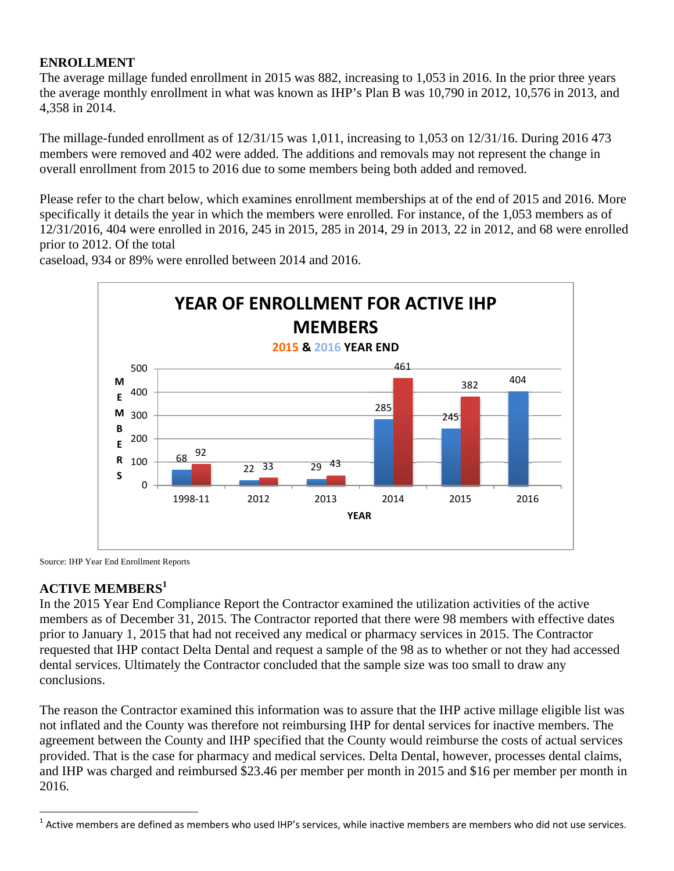# **ENROLLMENT**

The average millage funded enrollment in 2015 was 882, increasing to 1,053 in 2016. In the prior three years the average monthly enrollment in what was known as IHP's Plan B was 10,790 in 2012, 10,576 in 2013, and 4,358 in 2014.

The millage-funded enrollment as of 12/31/15 was 1,011, increasing to 1,053 on 12/31/16. During 2016 473 members were removed and 402 were added. The additions and removals may not represent the change in overall enrollment from 2015 to 2016 due to some members being both added and removed.

Please refer to the chart below, which examines enrollment memberships at of the end of 2015 and 2016. More specifically it details the year in which the members were enrolled. For instance, of the 1,053 members as of 12/31/2016, 404 were enrolled in 2016, 245 in 2015, 285 in 2014, 29 in 2013, 22 in 2012, and 68 were enrolled prior to 2012. Of the total

68 22 29 285 245 404 92 33 43 461 382  $\Omega$ 100 200 300 400 500 1998‐11 2012 2013 2014 2015 2016 **M E M B E R S YEAR YEAR OF ENROLLMENT FOR ACTIVE IHP MEMBERS 2015 & 2016 YEAR END**

caseload, 934 or 89% were enrolled between 2014 and 2016.

Source: IHP Year End Enrollment Reports

# **ACTIVE MEMBERS<sup>1</sup>**

1

In the 2015 Year End Compliance Report the Contractor examined the utilization activities of the active members as of December 31, 2015. The Contractor reported that there were 98 members with effective dates prior to January 1, 2015 that had not received any medical or pharmacy services in 2015. The Contractor requested that IHP contact Delta Dental and request a sample of the 98 as to whether or not they had accessed dental services. Ultimately the Contractor concluded that the sample size was too small to draw any conclusions.

The reason the Contractor examined this information was to assure that the IHP active millage eligible list was not inflated and the County was therefore not reimbursing IHP for dental services for inactive members. The agreement between the County and IHP specified that the County would reimburse the costs of actual services provided. That is the case for pharmacy and medical services. Delta Dental, however, processes dental claims, and IHP was charged and reimbursed \$23.46 per member per month in 2015 and \$16 per member per month in 2016.

 $1$  Active members are defined as members who used IHP's services, while inactive members are members who did not use services.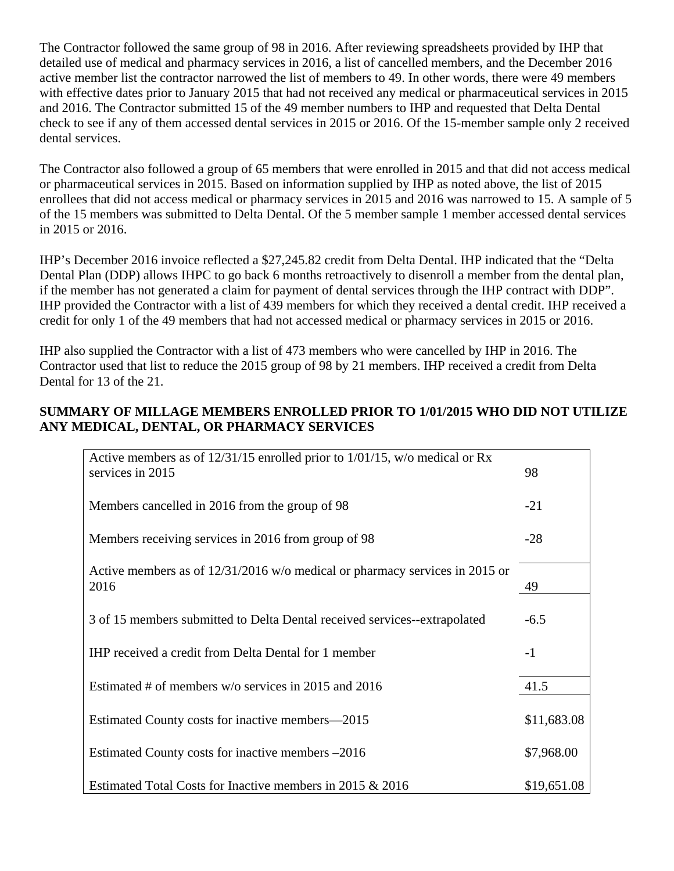The Contractor followed the same group of 98 in 2016. After reviewing spreadsheets provided by IHP that detailed use of medical and pharmacy services in 2016, a list of cancelled members, and the December 2016 active member list the contractor narrowed the list of members to 49. In other words, there were 49 members with effective dates prior to January 2015 that had not received any medical or pharmaceutical services in 2015 and 2016. The Contractor submitted 15 of the 49 member numbers to IHP and requested that Delta Dental check to see if any of them accessed dental services in 2015 or 2016. Of the 15-member sample only 2 received dental services.

The Contractor also followed a group of 65 members that were enrolled in 2015 and that did not access medical or pharmaceutical services in 2015. Based on information supplied by IHP as noted above, the list of 2015 enrollees that did not access medical or pharmacy services in 2015 and 2016 was narrowed to 15. A sample of 5 of the 15 members was submitted to Delta Dental. Of the 5 member sample 1 member accessed dental services in 2015 or 2016.

IHP's December 2016 invoice reflected a \$27,245.82 credit from Delta Dental. IHP indicated that the "Delta Dental Plan (DDP) allows IHPC to go back 6 months retroactively to disenroll a member from the dental plan, if the member has not generated a claim for payment of dental services through the IHP contract with DDP". IHP provided the Contractor with a list of 439 members for which they received a dental credit. IHP received a credit for only 1 of the 49 members that had not accessed medical or pharmacy services in 2015 or 2016.

IHP also supplied the Contractor with a list of 473 members who were cancelled by IHP in 2016. The Contractor used that list to reduce the 2015 group of 98 by 21 members. IHP received a credit from Delta Dental for 13 of the 21.

## **SUMMARY OF MILLAGE MEMBERS ENROLLED PRIOR TO 1/01/2015 WHO DID NOT UTILIZE ANY MEDICAL, DENTAL, OR PHARMACY SERVICES**

| Active members as of $12/31/15$ enrolled prior to $1/01/15$ , w/o medical or Rx |             |
|---------------------------------------------------------------------------------|-------------|
| services in 2015                                                                | 98          |
|                                                                                 |             |
| Members cancelled in 2016 from the group of 98                                  | $-21$       |
|                                                                                 |             |
| Members receiving services in 2016 from group of 98                             | $-28$       |
|                                                                                 |             |
| Active members as of $12/31/2016$ w/o medical or pharmacy services in 2015 or   |             |
| 2016                                                                            | 49          |
| 3 of 15 members submitted to Delta Dental received services--extrapolated       | $-6.5$      |
|                                                                                 |             |
| IHP received a credit from Delta Dental for 1 member                            | $-1$        |
|                                                                                 |             |
| Estimated # of members w/o services in 2015 and 2016                            | 41.5        |
|                                                                                 |             |
| Estimated County costs for inactive members—2015                                | \$11,683.08 |
|                                                                                 |             |
| Estimated County costs for inactive members –2016                               | \$7,968.00  |
|                                                                                 |             |
| Estimated Total Costs for Inactive members in 2015 & 2016                       | \$19,651.08 |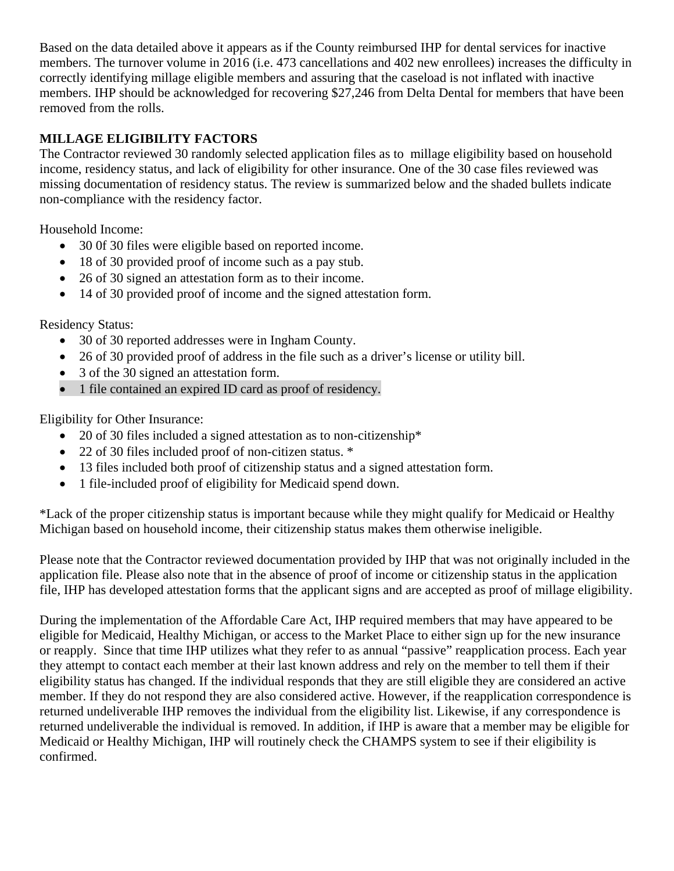Based on the data detailed above it appears as if the County reimbursed IHP for dental services for inactive members. The turnover volume in 2016 (i.e. 473 cancellations and 402 new enrollees) increases the difficulty in correctly identifying millage eligible members and assuring that the caseload is not inflated with inactive members. IHP should be acknowledged for recovering \$27,246 from Delta Dental for members that have been removed from the rolls.

# **MILLAGE ELIGIBILITY FACTORS**

The Contractor reviewed 30 randomly selected application files as to millage eligibility based on household income, residency status, and lack of eligibility for other insurance. One of the 30 case files reviewed was missing documentation of residency status. The review is summarized below and the shaded bullets indicate non-compliance with the residency factor.

Household Income:

- 30 0f 30 files were eligible based on reported income.
- 18 of 30 provided proof of income such as a pay stub.
- 26 of 30 signed an attestation form as to their income.
- 14 of 30 provided proof of income and the signed attestation form.

Residency Status:

- 30 of 30 reported addresses were in Ingham County.
- 26 of 30 provided proof of address in the file such as a driver's license or utility bill.
- 3 of the 30 signed an attestation form.
- 1 file contained an expired ID card as proof of residency.

Eligibility for Other Insurance:

- 20 of 30 files included a signed attestation as to non-citizenship\*
- 22 of 30 files included proof of non-citizen status. \*
- 13 files included both proof of citizenship status and a signed attestation form.
- 1 file-included proof of eligibility for Medicaid spend down.

\*Lack of the proper citizenship status is important because while they might qualify for Medicaid or Healthy Michigan based on household income, their citizenship status makes them otherwise ineligible.

Please note that the Contractor reviewed documentation provided by IHP that was not originally included in the application file. Please also note that in the absence of proof of income or citizenship status in the application file, IHP has developed attestation forms that the applicant signs and are accepted as proof of millage eligibility.

During the implementation of the Affordable Care Act, IHP required members that may have appeared to be eligible for Medicaid, Healthy Michigan, or access to the Market Place to either sign up for the new insurance or reapply. Since that time IHP utilizes what they refer to as annual "passive" reapplication process. Each year they attempt to contact each member at their last known address and rely on the member to tell them if their eligibility status has changed. If the individual responds that they are still eligible they are considered an active member. If they do not respond they are also considered active. However, if the reapplication correspondence is returned undeliverable IHP removes the individual from the eligibility list. Likewise, if any correspondence is returned undeliverable the individual is removed. In addition, if IHP is aware that a member may be eligible for Medicaid or Healthy Michigan, IHP will routinely check the CHAMPS system to see if their eligibility is confirmed.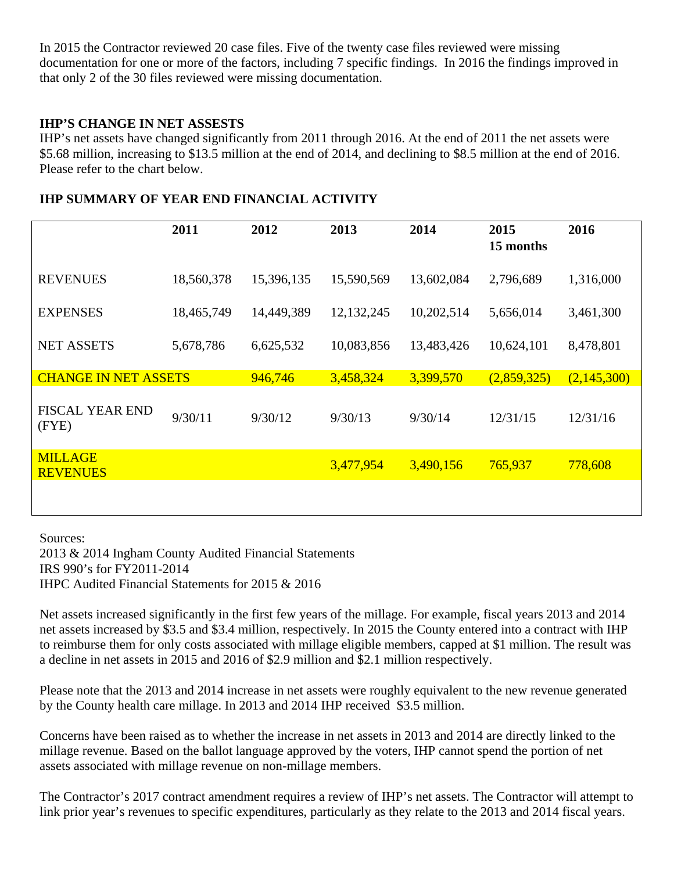In 2015 the Contractor reviewed 20 case files. Five of the twenty case files reviewed were missing documentation for one or more of the factors, including 7 specific findings. In 2016 the findings improved in that only 2 of the 30 files reviewed were missing documentation.

## **IHP'S CHANGE IN NET ASSESTS**

IHP's net assets have changed significantly from 2011 through 2016. At the end of 2011 the net assets were \$5.68 million, increasing to \$13.5 million at the end of 2014, and declining to \$8.5 million at the end of 2016. Please refer to the chart below.

|                                   | 2011       | 2012       | 2013         | 2014       | 2015<br>15 months | 2016        |
|-----------------------------------|------------|------------|--------------|------------|-------------------|-------------|
| <b>REVENUES</b>                   | 18,560,378 | 15,396,135 | 15,590,569   | 13,602,084 | 2,796,689         | 1,316,000   |
| <b>EXPENSES</b>                   | 18,465,749 | 14,449,389 | 12, 132, 245 | 10,202,514 | 5,656,014         | 3,461,300   |
| <b>NET ASSETS</b>                 | 5,678,786  | 6,625,532  | 10,083,856   | 13,483,426 | 10,624,101        | 8,478,801   |
| <b>CHANGE IN NET ASSETS</b>       |            | 946,746    | 3,458,324    | 3,399,570  | (2,859,325)       | (2,145,300) |
| <b>FISCAL YEAR END</b><br>(FYE)   | 9/30/11    | 9/30/12    | 9/30/13      | 9/30/14    | 12/31/15          | 12/31/16    |
| <b>MILLAGE</b><br><b>REVENUES</b> |            |            | 3,477,954    | 3,490,156  | 765,937           | 778,608     |
|                                   |            |            |              |            |                   |             |

## **IHP SUMMARY OF YEAR END FINANCIAL ACTIVITY**

Sources: 2013 & 2014 Ingham County Audited Financial Statements IRS 990's for FY2011-2014 IHPC Audited Financial Statements for 2015 & 2016

Net assets increased significantly in the first few years of the millage. For example, fiscal years 2013 and 2014 net assets increased by \$3.5 and \$3.4 million, respectively. In 2015 the County entered into a contract with IHP to reimburse them for only costs associated with millage eligible members, capped at \$1 million. The result was a decline in net assets in 2015 and 2016 of \$2.9 million and \$2.1 million respectively.

Please note that the 2013 and 2014 increase in net assets were roughly equivalent to the new revenue generated by the County health care millage. In 2013 and 2014 IHP received \$3.5 million.

Concerns have been raised as to whether the increase in net assets in 2013 and 2014 are directly linked to the millage revenue. Based on the ballot language approved by the voters, IHP cannot spend the portion of net assets associated with millage revenue on non-millage members.

The Contractor's 2017 contract amendment requires a review of IHP's net assets. The Contractor will attempt to link prior year's revenues to specific expenditures, particularly as they relate to the 2013 and 2014 fiscal years.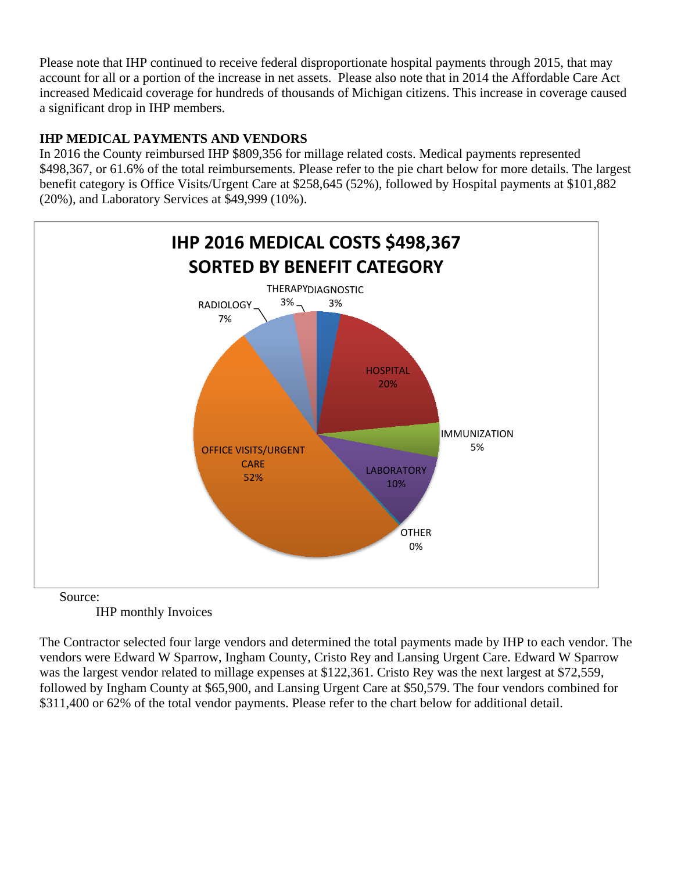Please note that IHP continued to receive federal disproportionate hospital payments through 2015, that may account for all or a portion of the increase in net assets. Please also note that in 2014 the Affordable Care Act increased Medicaid coverage for hundreds of thousands of Michigan citizens. This increase in coverage caused a significant drop in IHP members.

# **IHP MEDICAL PAYMENTS AND VENDORS**

In 2016 the County reimbursed IHP \$809,356 for millage related costs. Medical payments represented \$498,367, or 61.6% of the total reimbursements. Please refer to the pie chart below for more details. The largest benefit category is Office Visits/Urgent Care at \$258,645 (52%), followed by Hospital payments at \$101,882 (20%), and Laboratory Services at \$49,999 (10%).



IHP monthly Invoices

The Contractor selected four large vendors and determined the total payments made by IHP to each vendor. The vendors were Edward W Sparrow, Ingham County, Cristo Rey and Lansing Urgent Care. Edward W Sparrow was the largest vendor related to millage expenses at \$122,361. Cristo Rey was the next largest at \$72,559, followed by Ingham County at \$65,900, and Lansing Urgent Care at \$50,579. The four vendors combined for \$311,400 or 62% of the total vendor payments. Please refer to the chart below for additional detail.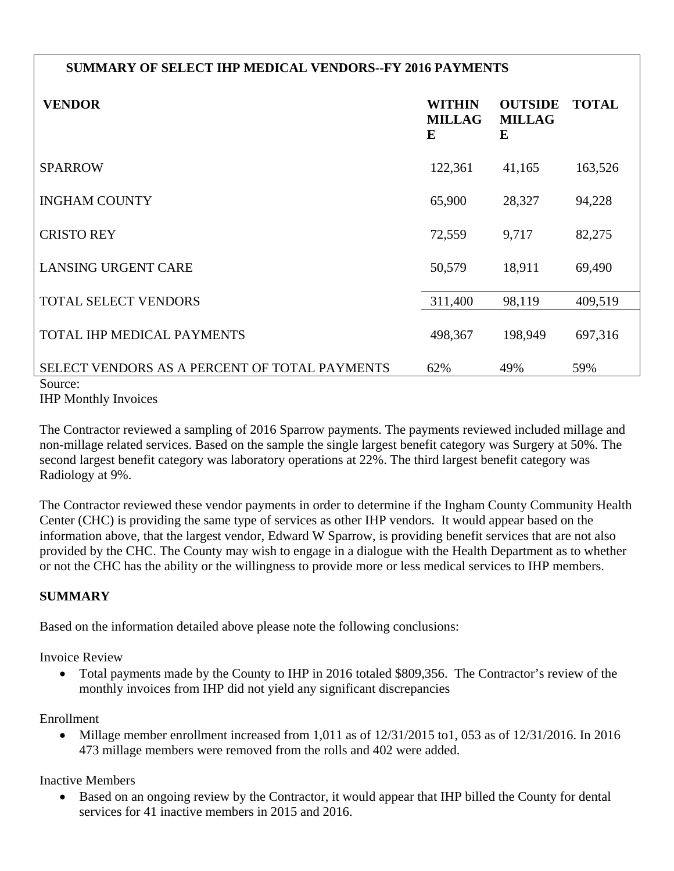# **SUMMARY OF SELECT IHP MEDICAL VENDORS--FY 2016 PAYMENTS**

| <b>VENDOR</b>                                            | <b>WITHIN</b><br><b>MILLAG</b><br>E | <b>OUTSIDE</b><br><b>MILLAG</b><br>E | <b>TOTAL</b> |
|----------------------------------------------------------|-------------------------------------|--------------------------------------|--------------|
| <b>SPARROW</b>                                           | 122,361                             | 41,165                               | 163,526      |
| <b>INGHAM COUNTY</b>                                     | 65,900                              | 28,327                               | 94,228       |
| <b>CRISTO REY</b>                                        | 72,559                              | 9,717                                | 82,275       |
| <b>LANSING URGENT CARE</b>                               | 50,579                              | 18,911                               | 69,490       |
| <b>TOTAL SELECT VENDORS</b>                              | 311,400                             | 98,119                               | 409,519      |
| TOTAL IHP MEDICAL PAYMENTS                               | 498,367                             | 198,949                              | 697,316      |
| SELECT VENDORS AS A PERCENT OF TOTAL PAYMENTS<br>Source: | 62%                                 | 49%                                  | 59%          |

IHP Monthly Invoices

The Contractor reviewed a sampling of 2016 Sparrow payments. The payments reviewed included millage and non-millage related services. Based on the sample the single largest benefit category was Surgery at 50%. The second largest benefit category was laboratory operations at 22%. The third largest benefit category was Radiology at 9%.

The Contractor reviewed these vendor payments in order to determine if the Ingham County Community Health Center (CHC) is providing the same type of services as other IHP vendors. It would appear based on the information above, that the largest vendor, Edward W Sparrow, is providing benefit services that are not also provided by the CHC. The County may wish to engage in a dialogue with the Health Department as to whether or not the CHC has the ability or the willingness to provide more or less medical services to IHP members.

# **SUMMARY**

Based on the information detailed above please note the following conclusions:

Invoice Review

• Total payments made by the County to IHP in 2016 totaled \$809,356. The Contractor's review of the monthly invoices from IHP did not yield any significant discrepancies

Enrollment

 Millage member enrollment increased from 1,011 as of 12/31/2015 to1, 053 as of 12/31/2016. In 2016 473 millage members were removed from the rolls and 402 were added.

Inactive Members

 Based on an ongoing review by the Contractor, it would appear that IHP billed the County for dental services for 41 inactive members in 2015 and 2016.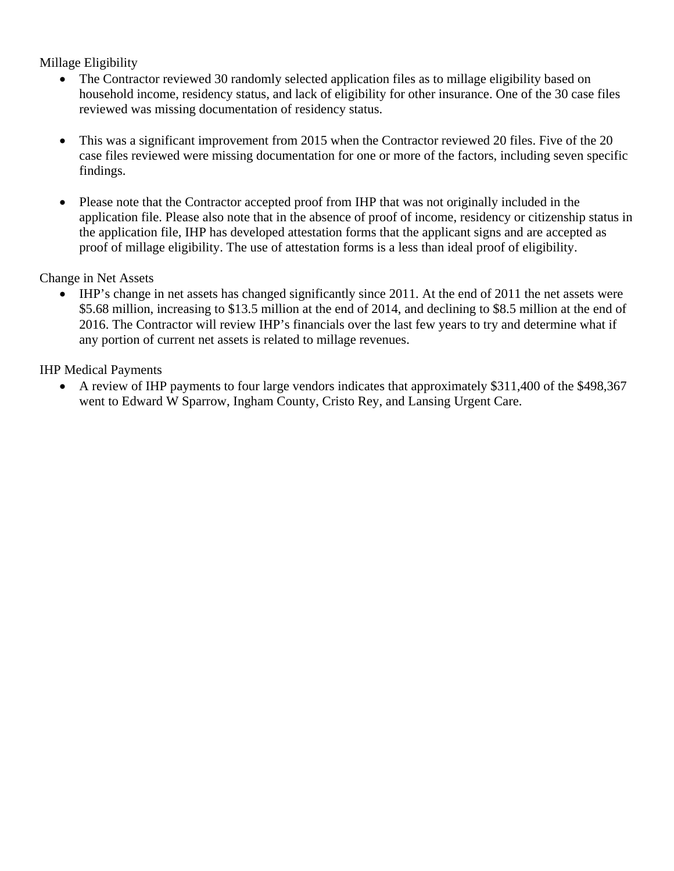Millage Eligibility

- The Contractor reviewed 30 randomly selected application files as to millage eligibility based on household income, residency status, and lack of eligibility for other insurance. One of the 30 case files reviewed was missing documentation of residency status.
- This was a significant improvement from 2015 when the Contractor reviewed 20 files. Five of the 20 case files reviewed were missing documentation for one or more of the factors, including seven specific findings.
- Please note that the Contractor accepted proof from IHP that was not originally included in the application file. Please also note that in the absence of proof of income, residency or citizenship status in the application file, IHP has developed attestation forms that the applicant signs and are accepted as proof of millage eligibility. The use of attestation forms is a less than ideal proof of eligibility.

Change in Net Assets

 IHP's change in net assets has changed significantly since 2011. At the end of 2011 the net assets were \$5.68 million, increasing to \$13.5 million at the end of 2014, and declining to \$8.5 million at the end of 2016. The Contractor will review IHP's financials over the last few years to try and determine what if any portion of current net assets is related to millage revenues.

IHP Medical Payments

 A review of IHP payments to four large vendors indicates that approximately \$311,400 of the \$498,367 went to Edward W Sparrow, Ingham County, Cristo Rey, and Lansing Urgent Care.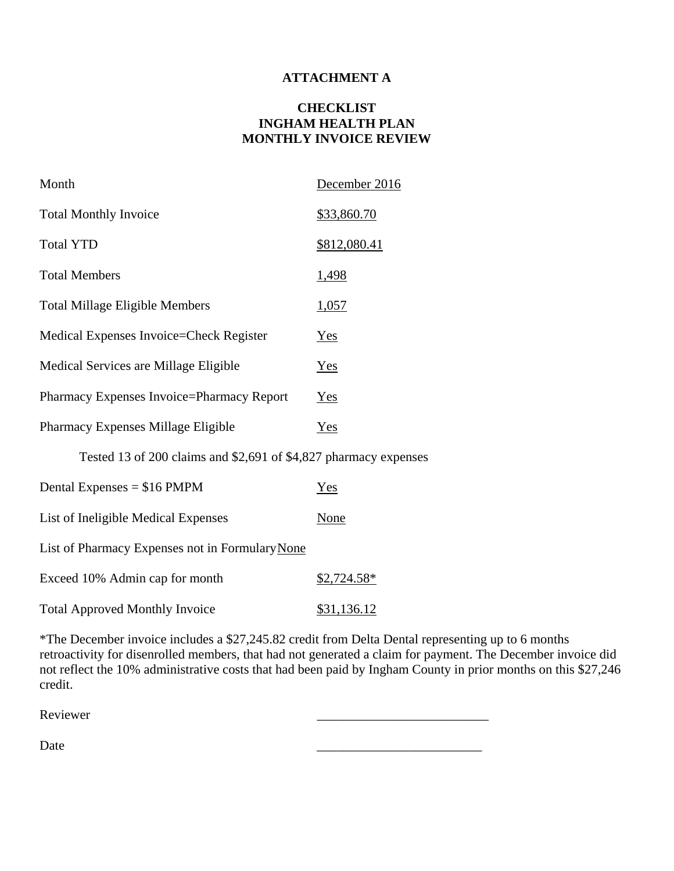#### **ATTACHMENT A**

#### **CHECKLIST INGHAM HEALTH PLAN MONTHLY INVOICE REVIEW**

| Month                                                            | December 2016 |  |  |
|------------------------------------------------------------------|---------------|--|--|
| <b>Total Monthly Invoice</b>                                     | \$33,860.70   |  |  |
| <b>Total YTD</b>                                                 | \$812,080.41  |  |  |
| <b>Total Members</b>                                             | <u>1,498</u>  |  |  |
| <b>Total Millage Eligible Members</b>                            | 1,057         |  |  |
| Medical Expenses Invoice=Check Register                          | $Yes$         |  |  |
| Medical Services are Millage Eligible                            | $Yes$         |  |  |
| Pharmacy Expenses Invoice=Pharmacy Report                        | $Yes$         |  |  |
| Pharmacy Expenses Millage Eligible                               | Yes           |  |  |
| Tested 13 of 200 claims and \$2,691 of \$4,827 pharmacy expenses |               |  |  |
| Dental Expenses = $$16$ PMPM                                     | Yes           |  |  |
| List of Ineligible Medical Expenses                              | <u>None</u>   |  |  |
| List of Pharmacy Expenses not in Formulary None                  |               |  |  |
| Exceed 10% Admin cap for month                                   | \$2,724.58*   |  |  |

Total Approved Monthly Invoice \$31,136.12

\*The December invoice includes a \$27,245.82 credit from Delta Dental representing up to 6 months retroactivity for disenrolled members, that had not generated a claim for payment. The December invoice did not reflect the 10% administrative costs that had been paid by Ingham County in prior months on this \$27,246 credit.

Reviewer 2008 and 2008 and 2008 and 2008 and 2008 and 2008 and 2008 and 2008 and 2008 and 2008 and 2008 and 20

Date  $\qquad \qquad \qquad$